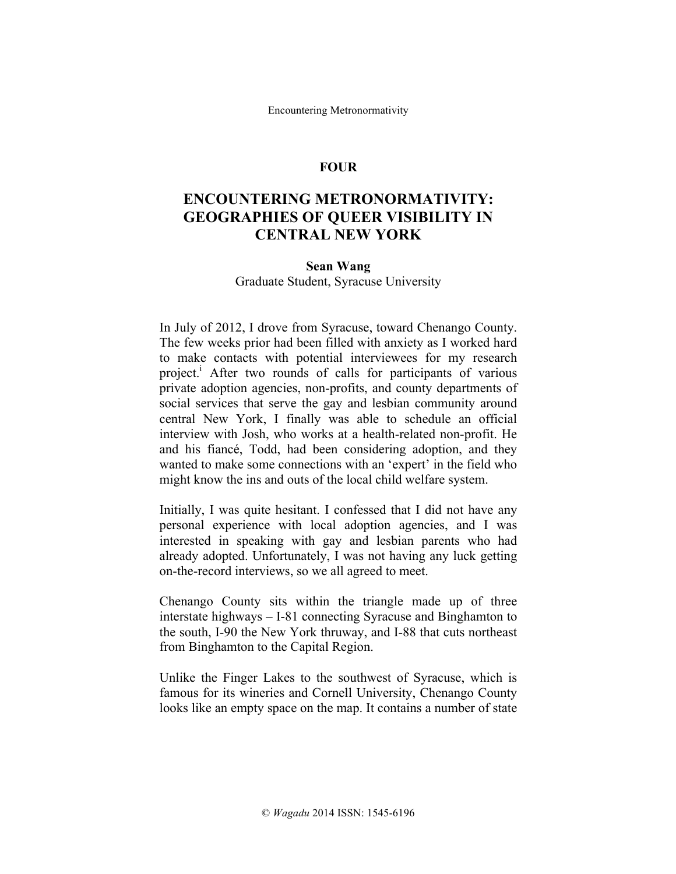Encountering Metronormativity

### **FOUR**

# **ENCOUNTERING METRONORMATIVITY: GEOGRAPHIES OF QUEER VISIBILITY IN CENTRAL NEW YORK**

#### **Sean Wang**

Graduate Student, Syracuse University

In July of 2012, I drove from Syracuse, toward Chenango County. The few weeks prior had been filled with anxiety as I worked hard to make contacts with potential interviewees for my research project.<sup>1</sup> After two rounds of calls for participants of various private adoption agencies, non-profits, and county departments of social services that serve the gay and lesbian community around central New York, I finally was able to schedule an official interview with Josh, who works at a health-related non-profit. He and his fiancé, Todd, had been considering adoption, and they wanted to make some connections with an 'expert' in the field who might know the ins and outs of the local child welfare system.

Initially, I was quite hesitant. I confessed that I did not have any personal experience with local adoption agencies, and I was interested in speaking with gay and lesbian parents who had already adopted. Unfortunately, I was not having any luck getting on-the-record interviews, so we all agreed to meet.

Chenango County sits within the triangle made up of three interstate highways – I-81 connecting Syracuse and Binghamton to the south, I-90 the New York thruway, and I-88 that cuts northeast from Binghamton to the Capital Region.

Unlike the Finger Lakes to the southwest of Syracuse, which is famous for its wineries and Cornell University, Chenango County looks like an empty space on the map. It contains a number of state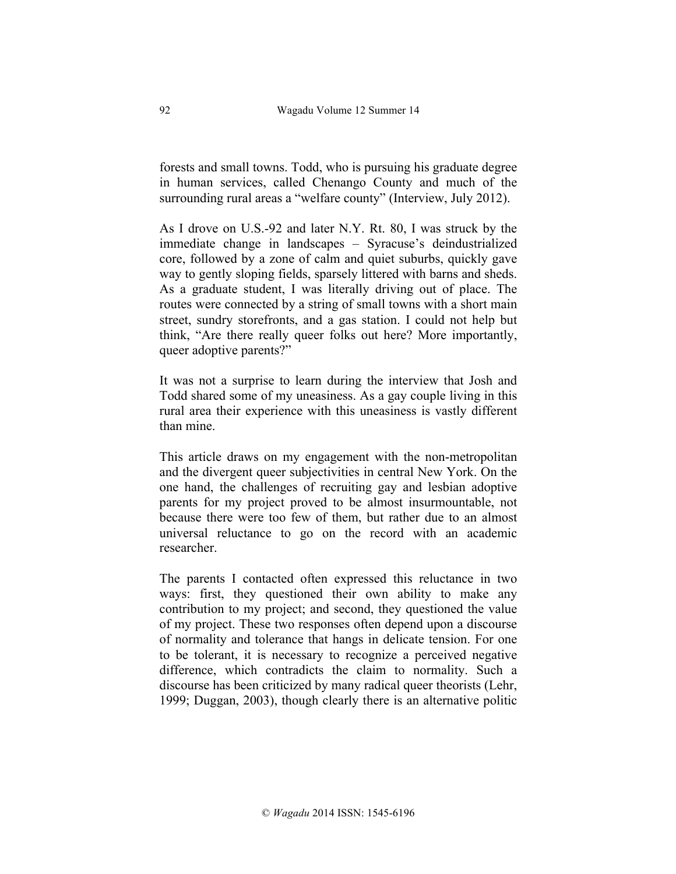forests and small towns. Todd, who is pursuing his graduate degree in human services, called Chenango County and much of the surrounding rural areas a "welfare county" (Interview, July 2012).

As I drove on U.S.-92 and later N.Y. Rt. 80, I was struck by the immediate change in landscapes – Syracuse's deindustrialized core, followed by a zone of calm and quiet suburbs, quickly gave way to gently sloping fields, sparsely littered with barns and sheds. As a graduate student, I was literally driving out of place. The routes were connected by a string of small towns with a short main street, sundry storefronts, and a gas station. I could not help but think, "Are there really queer folks out here? More importantly, queer adoptive parents?"

It was not a surprise to learn during the interview that Josh and Todd shared some of my uneasiness. As a gay couple living in this rural area their experience with this uneasiness is vastly different than mine.

This article draws on my engagement with the non-metropolitan and the divergent queer subjectivities in central New York. On the one hand, the challenges of recruiting gay and lesbian adoptive parents for my project proved to be almost insurmountable, not because there were too few of them, but rather due to an almost universal reluctance to go on the record with an academic researcher.

The parents I contacted often expressed this reluctance in two ways: first, they questioned their own ability to make any contribution to my project; and second, they questioned the value of my project. These two responses often depend upon a discourse of normality and tolerance that hangs in delicate tension. For one to be tolerant, it is necessary to recognize a perceived negative difference, which contradicts the claim to normality. Such a discourse has been criticized by many radical queer theorists (Lehr, 1999; Duggan, 2003), though clearly there is an alternative politic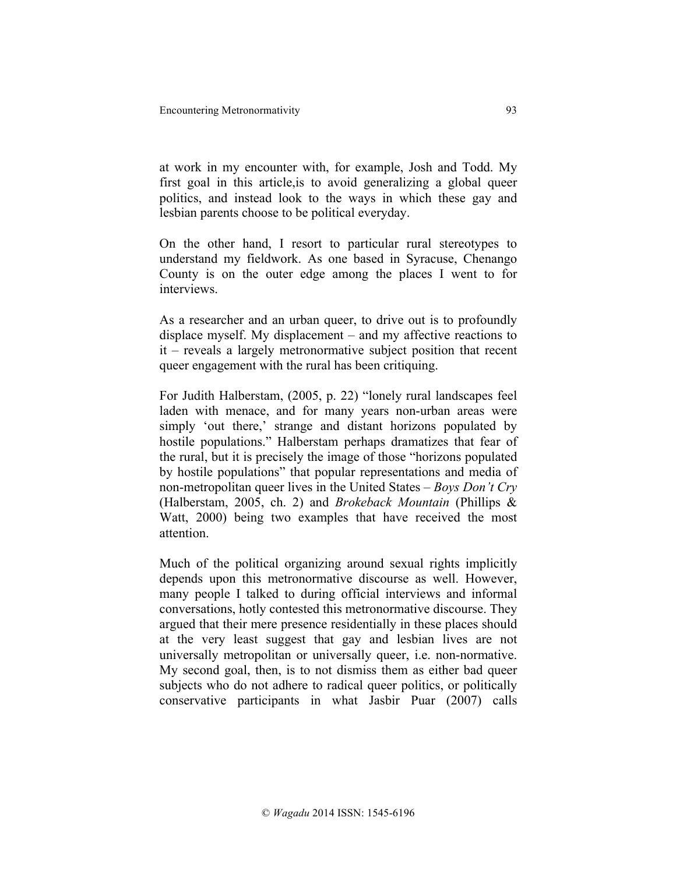at work in my encounter with, for example, Josh and Todd. My first goal in this article,is to avoid generalizing a global queer politics, and instead look to the ways in which these gay and lesbian parents choose to be political everyday.

On the other hand, I resort to particular rural stereotypes to understand my fieldwork. As one based in Syracuse, Chenango County is on the outer edge among the places I went to for interviews.

As a researcher and an urban queer, to drive out is to profoundly displace myself. My displacement – and my affective reactions to it – reveals a largely metronormative subject position that recent queer engagement with the rural has been critiquing.

For Judith Halberstam, (2005, p. 22) "lonely rural landscapes feel laden with menace, and for many years non-urban areas were simply 'out there,' strange and distant horizons populated by hostile populations." Halberstam perhaps dramatizes that fear of the rural, but it is precisely the image of those "horizons populated by hostile populations" that popular representations and media of non-metropolitan queer lives in the United States – *Boys Don't Cry* (Halberstam, 2005, ch. 2) and *Brokeback Mountain* (Phillips & Watt, 2000) being two examples that have received the most attention.

Much of the political organizing around sexual rights implicitly depends upon this metronormative discourse as well. However, many people I talked to during official interviews and informal conversations, hotly contested this metronormative discourse. They argued that their mere presence residentially in these places should at the very least suggest that gay and lesbian lives are not universally metropolitan or universally queer, i.e. non-normative. My second goal, then, is to not dismiss them as either bad queer subjects who do not adhere to radical queer politics, or politically conservative participants in what Jasbir Puar (2007) calls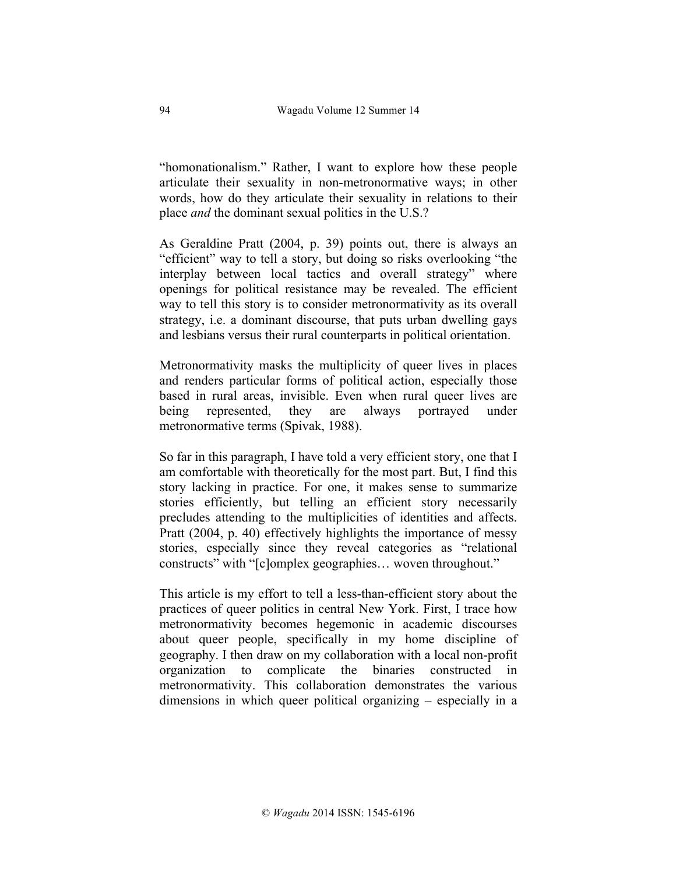"homonationalism." Rather, I want to explore how these people articulate their sexuality in non-metronormative ways; in other words, how do they articulate their sexuality in relations to their place *and* the dominant sexual politics in the U.S.?

As Geraldine Pratt (2004, p. 39) points out, there is always an "efficient" way to tell a story, but doing so risks overlooking "the interplay between local tactics and overall strategy" where openings for political resistance may be revealed. The efficient way to tell this story is to consider metronormativity as its overall strategy, i.e. a dominant discourse, that puts urban dwelling gays and lesbians versus their rural counterparts in political orientation.

Metronormativity masks the multiplicity of queer lives in places and renders particular forms of political action, especially those based in rural areas, invisible. Even when rural queer lives are being represented, they are always portrayed under metronormative terms (Spivak, 1988).

So far in this paragraph, I have told a very efficient story, one that I am comfortable with theoretically for the most part. But, I find this story lacking in practice. For one, it makes sense to summarize stories efficiently, but telling an efficient story necessarily precludes attending to the multiplicities of identities and affects. Pratt (2004, p. 40) effectively highlights the importance of messy stories, especially since they reveal categories as "relational constructs" with "[c]omplex geographies… woven throughout."

This article is my effort to tell a less-than-efficient story about the practices of queer politics in central New York. First, I trace how metronormativity becomes hegemonic in academic discourses about queer people, specifically in my home discipline of geography. I then draw on my collaboration with a local non-profit organization to complicate the binaries constructed in metronormativity. This collaboration demonstrates the various dimensions in which queer political organizing – especially in a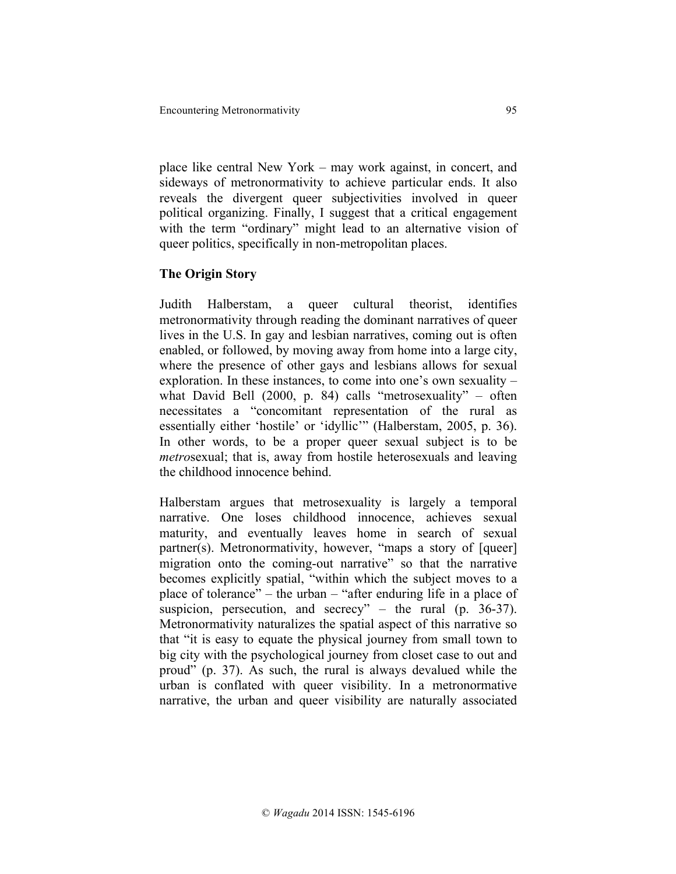place like central New York – may work against, in concert, and sideways of metronormativity to achieve particular ends. It also reveals the divergent queer subjectivities involved in queer political organizing. Finally, I suggest that a critical engagement with the term "ordinary" might lead to an alternative vision of queer politics, specifically in non-metropolitan places.

# **The Origin Story**

Judith Halberstam, a queer cultural theorist, identifies metronormativity through reading the dominant narratives of queer lives in the U.S. In gay and lesbian narratives, coming out is often enabled, or followed, by moving away from home into a large city, where the presence of other gays and lesbians allows for sexual exploration. In these instances, to come into one's own sexuality – what David Bell (2000, p. 84) calls "metrosexuality" – often necessitates a "concomitant representation of the rural as essentially either 'hostile' or 'idyllic'" (Halberstam, 2005, p. 36). In other words, to be a proper queer sexual subject is to be *metro*sexual; that is, away from hostile heterosexuals and leaving the childhood innocence behind.

Halberstam argues that metrosexuality is largely a temporal narrative. One loses childhood innocence, achieves sexual maturity, and eventually leaves home in search of sexual partner(s). Metronormativity, however, "maps a story of [queer] migration onto the coming-out narrative" so that the narrative becomes explicitly spatial, "within which the subject moves to a place of tolerance" – the urban – "after enduring life in a place of suspicion, persecution, and secrecy" – the rural (p. 36-37). Metronormativity naturalizes the spatial aspect of this narrative so that "it is easy to equate the physical journey from small town to big city with the psychological journey from closet case to out and proud" (p. 37). As such, the rural is always devalued while the urban is conflated with queer visibility. In a metronormative narrative, the urban and queer visibility are naturally associated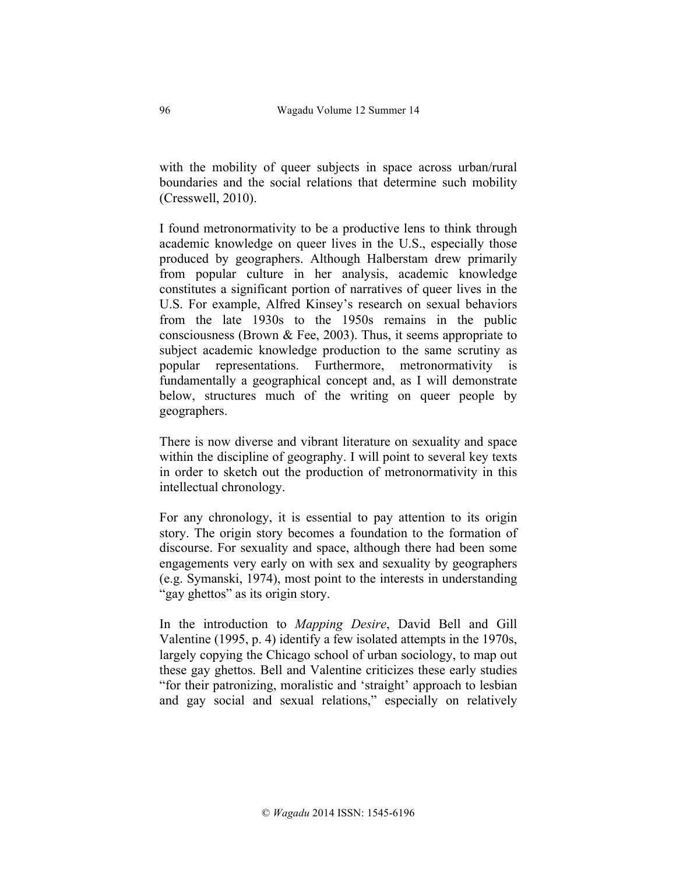with the mobility of queer subjects in space across urban/rural boundaries and the social relations that determine such mobility (Cresswell, 2010).

I found metronormativity to be a productive lens to think through academic knowledge on queer lives in the U.S., especially those produced by geographers. Although Halberstam drew primarily from popular culture in her analysis, academic knowledge constitutes a significant portion of narratives of queer lives in the U.S. For example, Alfred Kinsey's research on sexual behaviors from the late 1930s to the 1950s remains in the public consciousness (Brown  $\&$  Fee, 2003). Thus, it seems appropriate to subject academic knowledge production to the same scrutiny as popular representations. Furthermore, metronormativity is fundamentally a geographical concept and, as I will demonstrate below, structures much of the writing on queer people by geographers.

There is now diverse and vibrant literature on sexuality and space within the discipline of geography. I will point to several key texts in order to sketch out the production of metronormativity in this intellectual chronology.

For any chronology, it is essential to pay attention to its origin story. The origin story becomes a foundation to the formation of discourse. For sexuality and space, although there had been some engagements very early on with sex and sexuality by geographers (e.g. Symanski, 1974), most point to the interests in understanding "gay ghettos" as its origin story.

In the introduction to *Mapping Desire*, David Bell and Gill Valentine (1995, p. 4) identify a few isolated attempts in the 1970s, largely copying the Chicago school of urban sociology, to map out these gay ghettos. Bell and Valentine criticizes these early studies "for their patronizing, moralistic and 'straight' approach to lesbian and gay social and sexual relations," especially on relatively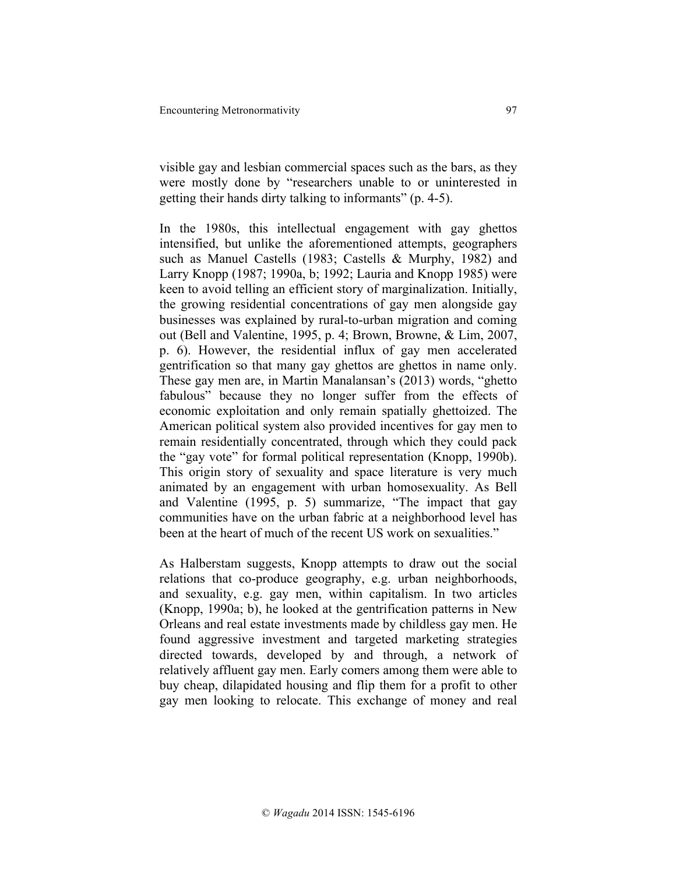visible gay and lesbian commercial spaces such as the bars, as they were mostly done by "researchers unable to or uninterested in getting their hands dirty talking to informants" (p. 4-5).

In the 1980s, this intellectual engagement with gay ghettos intensified, but unlike the aforementioned attempts, geographers such as Manuel Castells (1983; Castells & Murphy, 1982) and Larry Knopp (1987; 1990a, b; 1992; Lauria and Knopp 1985) were keen to avoid telling an efficient story of marginalization. Initially, the growing residential concentrations of gay men alongside gay businesses was explained by rural-to-urban migration and coming out (Bell and Valentine, 1995, p. 4; Brown, Browne, & Lim, 2007, p. 6). However, the residential influx of gay men accelerated gentrification so that many gay ghettos are ghettos in name only. These gay men are, in Martin Manalansan's (2013) words, "ghetto fabulous" because they no longer suffer from the effects of economic exploitation and only remain spatially ghettoized. The American political system also provided incentives for gay men to remain residentially concentrated, through which they could pack the "gay vote" for formal political representation (Knopp, 1990b). This origin story of sexuality and space literature is very much animated by an engagement with urban homosexuality. As Bell and Valentine (1995, p. 5) summarize, "The impact that gay communities have on the urban fabric at a neighborhood level has been at the heart of much of the recent US work on sexualities."

As Halberstam suggests, Knopp attempts to draw out the social relations that co-produce geography, e.g. urban neighborhoods, and sexuality, e.g. gay men, within capitalism. In two articles (Knopp, 1990a; b), he looked at the gentrification patterns in New Orleans and real estate investments made by childless gay men. He found aggressive investment and targeted marketing strategies directed towards, developed by and through, a network of relatively affluent gay men. Early comers among them were able to buy cheap, dilapidated housing and flip them for a profit to other gay men looking to relocate. This exchange of money and real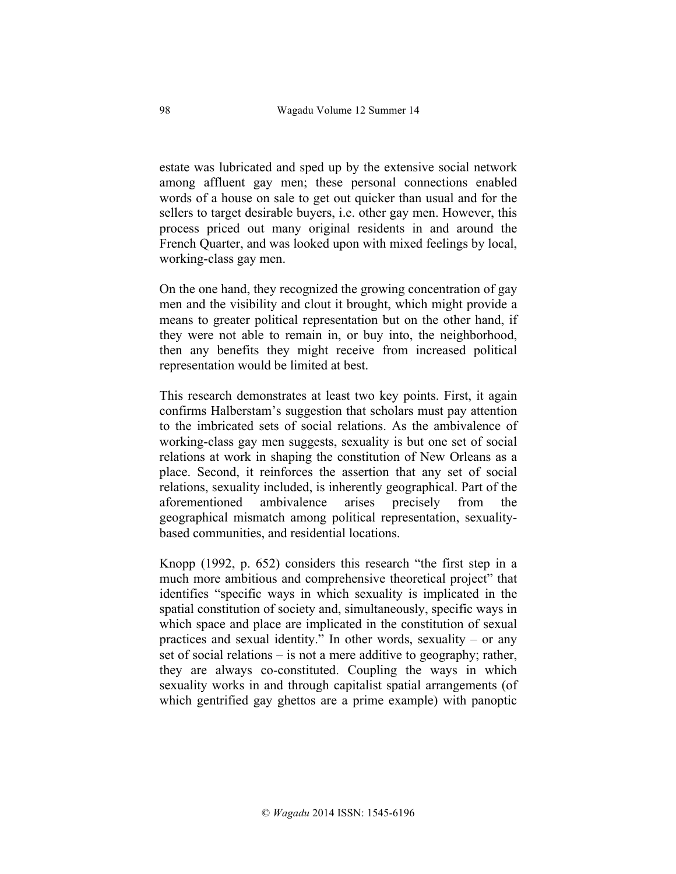estate was lubricated and sped up by the extensive social network among affluent gay men; these personal connections enabled words of a house on sale to get out quicker than usual and for the sellers to target desirable buyers, i.e. other gay men. However, this process priced out many original residents in and around the French Quarter, and was looked upon with mixed feelings by local, working-class gay men.

On the one hand, they recognized the growing concentration of gay men and the visibility and clout it brought, which might provide a means to greater political representation but on the other hand, if they were not able to remain in, or buy into, the neighborhood, then any benefits they might receive from increased political representation would be limited at best.

This research demonstrates at least two key points. First, it again confirms Halberstam's suggestion that scholars must pay attention to the imbricated sets of social relations. As the ambivalence of working-class gay men suggests, sexuality is but one set of social relations at work in shaping the constitution of New Orleans as a place. Second, it reinforces the assertion that any set of social relations, sexuality included, is inherently geographical. Part of the aforementioned ambivalence arises precisely from the geographical mismatch among political representation, sexualitybased communities, and residential locations.

Knopp (1992, p. 652) considers this research "the first step in a much more ambitious and comprehensive theoretical project" that identifies "specific ways in which sexuality is implicated in the spatial constitution of society and, simultaneously, specific ways in which space and place are implicated in the constitution of sexual practices and sexual identity." In other words, sexuality – or any set of social relations – is not a mere additive to geography; rather, they are always co-constituted. Coupling the ways in which sexuality works in and through capitalist spatial arrangements (of which gentrified gay ghettos are a prime example) with panoptic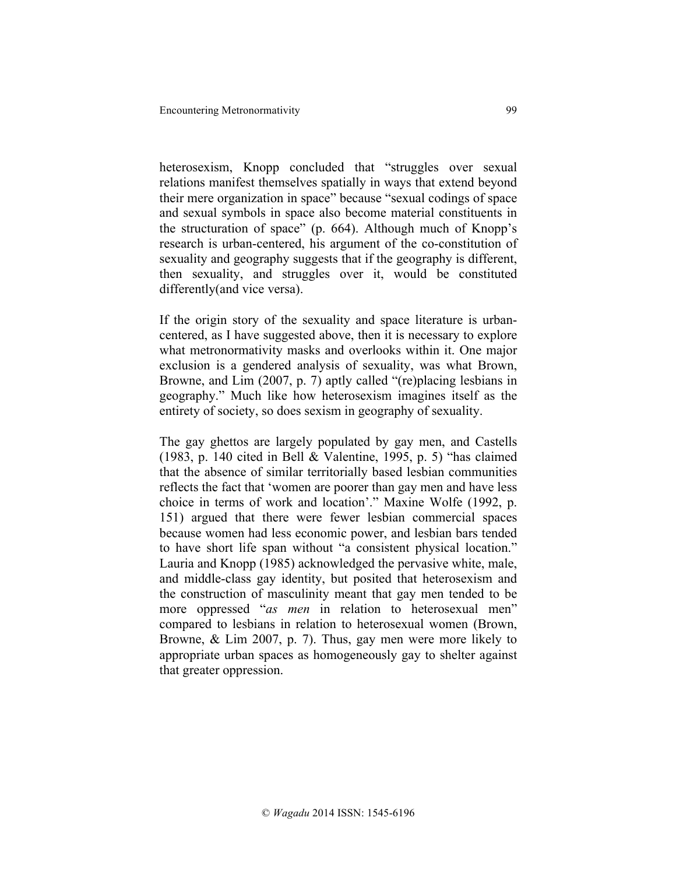heterosexism, Knopp concluded that "struggles over sexual relations manifest themselves spatially in ways that extend beyond their mere organization in space" because "sexual codings of space and sexual symbols in space also become material constituents in the structuration of space" (p. 664). Although much of Knopp's research is urban-centered, his argument of the co-constitution of sexuality and geography suggests that if the geography is different, then sexuality, and struggles over it, would be constituted differently(and vice versa).

If the origin story of the sexuality and space literature is urbancentered, as I have suggested above, then it is necessary to explore what metronormativity masks and overlooks within it. One major exclusion is a gendered analysis of sexuality, was what Brown, Browne, and Lim (2007, p. 7) aptly called "(re)placing lesbians in geography." Much like how heterosexism imagines itself as the entirety of society, so does sexism in geography of sexuality.

The gay ghettos are largely populated by gay men, and Castells (1983, p. 140 cited in Bell & Valentine, 1995, p. 5) "has claimed that the absence of similar territorially based lesbian communities reflects the fact that 'women are poorer than gay men and have less choice in terms of work and location'." Maxine Wolfe (1992, p. 151) argued that there were fewer lesbian commercial spaces because women had less economic power, and lesbian bars tended to have short life span without "a consistent physical location." Lauria and Knopp (1985) acknowledged the pervasive white, male, and middle-class gay identity, but posited that heterosexism and the construction of masculinity meant that gay men tended to be more oppressed "*as men* in relation to heterosexual men" compared to lesbians in relation to heterosexual women (Brown, Browne, & Lim 2007, p. 7). Thus, gay men were more likely to appropriate urban spaces as homogeneously gay to shelter against that greater oppression.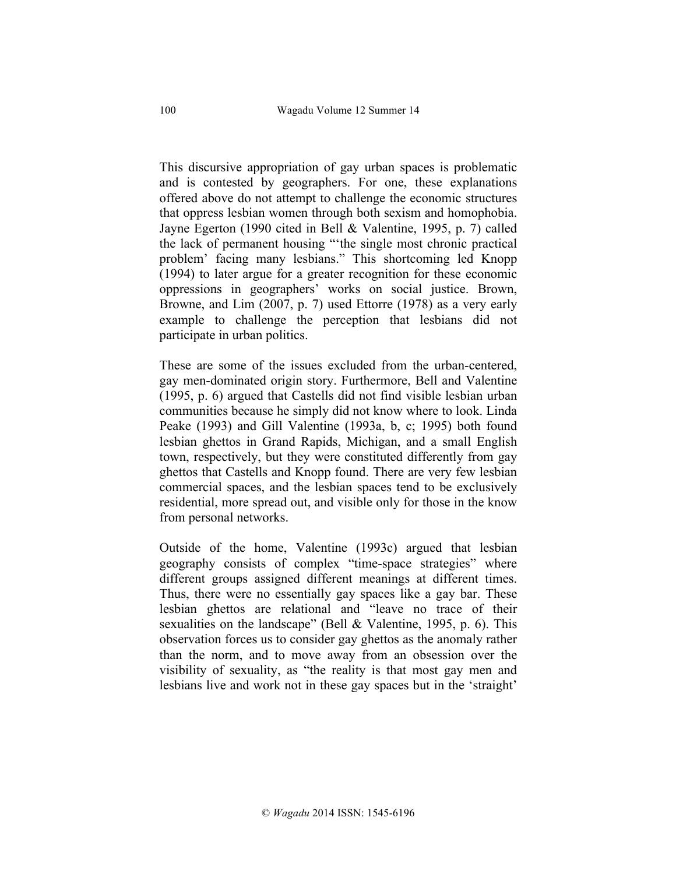This discursive appropriation of gay urban spaces is problematic and is contested by geographers. For one, these explanations offered above do not attempt to challenge the economic structures that oppress lesbian women through both sexism and homophobia. Jayne Egerton (1990 cited in Bell & Valentine, 1995, p. 7) called the lack of permanent housing "'the single most chronic practical problem' facing many lesbians." This shortcoming led Knopp (1994) to later argue for a greater recognition for these economic oppressions in geographers' works on social justice. Brown, Browne, and Lim (2007, p. 7) used Ettorre (1978) as a very early example to challenge the perception that lesbians did not participate in urban politics.

These are some of the issues excluded from the urban-centered, gay men-dominated origin story. Furthermore, Bell and Valentine (1995, p. 6) argued that Castells did not find visible lesbian urban communities because he simply did not know where to look. Linda Peake (1993) and Gill Valentine (1993a, b, c; 1995) both found lesbian ghettos in Grand Rapids, Michigan, and a small English town, respectively, but they were constituted differently from gay ghettos that Castells and Knopp found. There are very few lesbian commercial spaces, and the lesbian spaces tend to be exclusively residential, more spread out, and visible only for those in the know from personal networks.

Outside of the home, Valentine (1993c) argued that lesbian geography consists of complex "time-space strategies" where different groups assigned different meanings at different times. Thus, there were no essentially gay spaces like a gay bar. These lesbian ghettos are relational and "leave no trace of their sexualities on the landscape" (Bell & Valentine, 1995, p. 6). This observation forces us to consider gay ghettos as the anomaly rather than the norm, and to move away from an obsession over the visibility of sexuality, as "the reality is that most gay men and lesbians live and work not in these gay spaces but in the 'straight'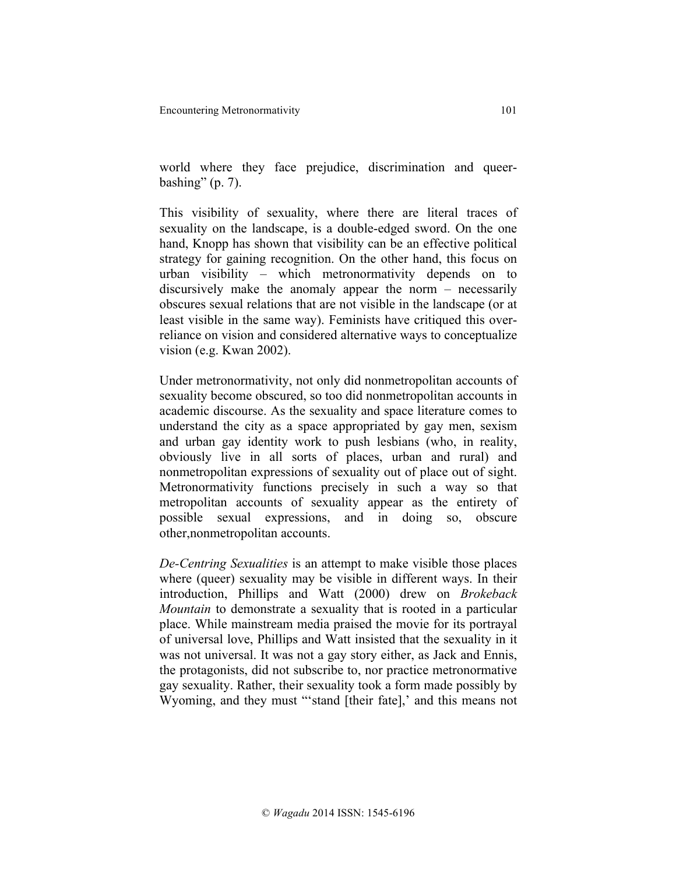world where they face prejudice, discrimination and queerbashing"  $(p. 7)$ .

This visibility of sexuality, where there are literal traces of sexuality on the landscape, is a double-edged sword. On the one hand, Knopp has shown that visibility can be an effective political strategy for gaining recognition. On the other hand, this focus on urban visibility – which metronormativity depends on to discursively make the anomaly appear the norm – necessarily obscures sexual relations that are not visible in the landscape (or at least visible in the same way). Feminists have critiqued this overreliance on vision and considered alternative ways to conceptualize vision (e.g. Kwan 2002).

Under metronormativity, not only did nonmetropolitan accounts of sexuality become obscured, so too did nonmetropolitan accounts in academic discourse. As the sexuality and space literature comes to understand the city as a space appropriated by gay men, sexism and urban gay identity work to push lesbians (who, in reality, obviously live in all sorts of places, urban and rural) and nonmetropolitan expressions of sexuality out of place out of sight. Metronormativity functions precisely in such a way so that metropolitan accounts of sexuality appear as the entirety of possible sexual expressions, and in doing so, obscure other,nonmetropolitan accounts.

*De-Centring Sexualities* is an attempt to make visible those places where (queer) sexuality may be visible in different ways. In their introduction, Phillips and Watt (2000) drew on *Brokeback Mountain* to demonstrate a sexuality that is rooted in a particular place. While mainstream media praised the movie for its portrayal of universal love, Phillips and Watt insisted that the sexuality in it was not universal. It was not a gay story either, as Jack and Ennis, the protagonists, did not subscribe to, nor practice metronormative gay sexuality. Rather, their sexuality took a form made possibly by Wyoming, and they must "'stand [their fate],' and this means not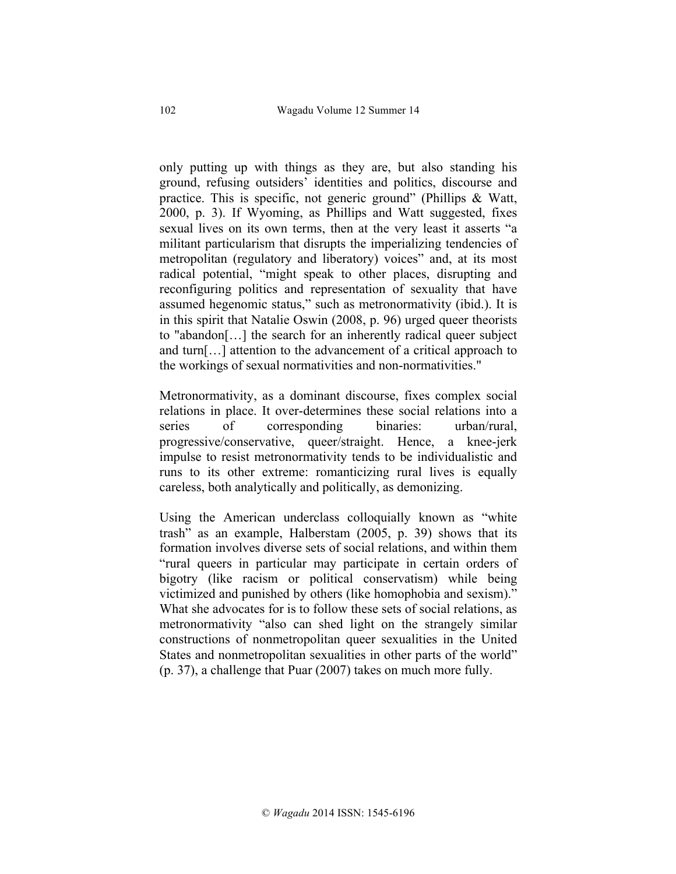only putting up with things as they are, but also standing his ground, refusing outsiders' identities and politics, discourse and practice. This is specific, not generic ground" (Phillips & Watt, 2000, p. 3). If Wyoming, as Phillips and Watt suggested, fixes sexual lives on its own terms, then at the very least it asserts "a militant particularism that disrupts the imperializing tendencies of metropolitan (regulatory and liberatory) voices" and, at its most radical potential, "might speak to other places, disrupting and reconfiguring politics and representation of sexuality that have assumed hegenomic status," such as metronormativity (ibid.). It is in this spirit that Natalie Oswin (2008, p. 96) urged queer theorists to "abandon[…] the search for an inherently radical queer subject and turn[…] attention to the advancement of a critical approach to the workings of sexual normativities and non-normativities."

Metronormativity, as a dominant discourse, fixes complex social relations in place. It over-determines these social relations into a series of corresponding binaries: urban/rural, progressive/conservative, queer/straight. Hence, a knee-jerk impulse to resist metronormativity tends to be individualistic and runs to its other extreme: romanticizing rural lives is equally careless, both analytically and politically, as demonizing.

Using the American underclass colloquially known as "white trash" as an example, Halberstam (2005, p. 39) shows that its formation involves diverse sets of social relations, and within them "rural queers in particular may participate in certain orders of bigotry (like racism or political conservatism) while being victimized and punished by others (like homophobia and sexism)." What she advocates for is to follow these sets of social relations, as metronormativity "also can shed light on the strangely similar constructions of nonmetropolitan queer sexualities in the United States and nonmetropolitan sexualities in other parts of the world" (p. 37), a challenge that Puar (2007) takes on much more fully.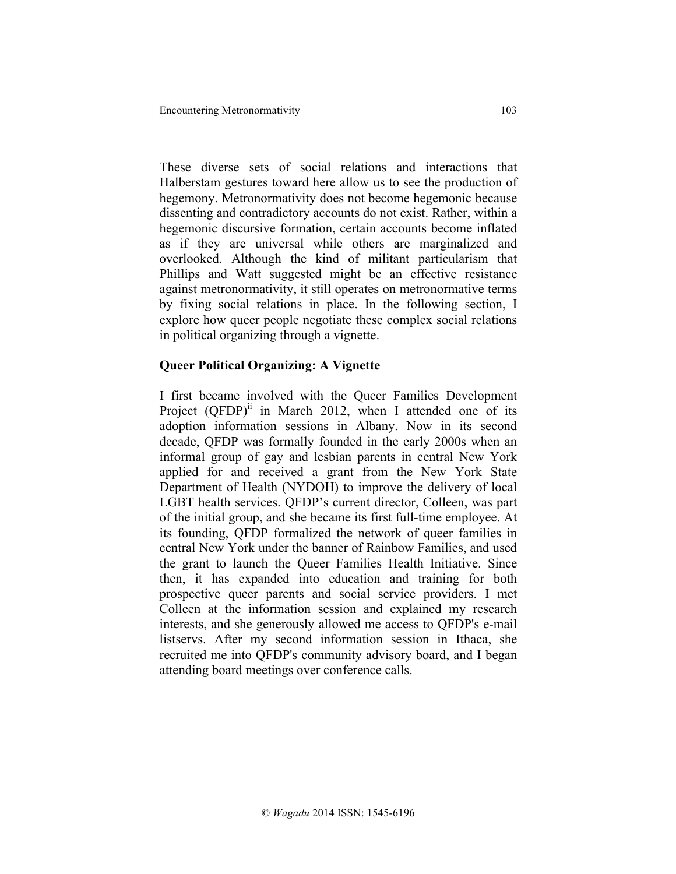These diverse sets of social relations and interactions that Halberstam gestures toward here allow us to see the production of hegemony. Metronormativity does not become hegemonic because dissenting and contradictory accounts do not exist. Rather, within a hegemonic discursive formation, certain accounts become inflated as if they are universal while others are marginalized and overlooked. Although the kind of militant particularism that Phillips and Watt suggested might be an effective resistance against metronormativity, it still operates on metronormative terms by fixing social relations in place. In the following section, I explore how queer people negotiate these complex social relations in political organizing through a vignette.

### **Queer Political Organizing: A Vignette**

I first became involved with the Queer Families Development Project  $(QFDP)^{ii}$  in March 2012, when I attended one of its adoption information sessions in Albany. Now in its second decade, QFDP was formally founded in the early 2000s when an informal group of gay and lesbian parents in central New York applied for and received a grant from the New York State Department of Health (NYDOH) to improve the delivery of local LGBT health services. QFDP's current director, Colleen, was part of the initial group, and she became its first full-time employee. At its founding, QFDP formalized the network of queer families in central New York under the banner of Rainbow Families, and used the grant to launch the Queer Families Health Initiative. Since then, it has expanded into education and training for both prospective queer parents and social service providers. I met Colleen at the information session and explained my research interests, and she generously allowed me access to QFDP's e-mail listservs. After my second information session in Ithaca, she recruited me into QFDP's community advisory board, and I began attending board meetings over conference calls.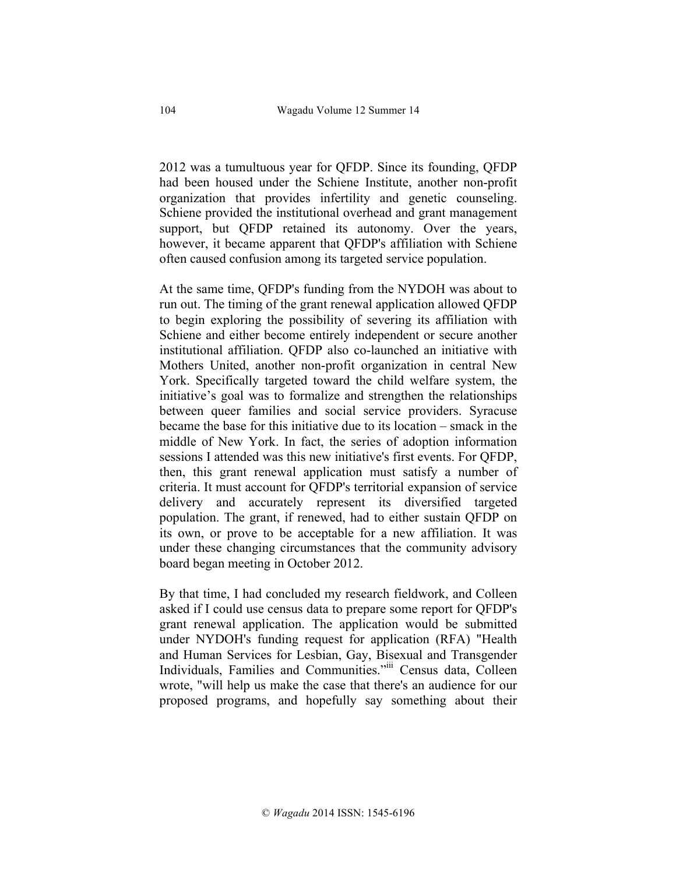2012 was a tumultuous year for QFDP. Since its founding, QFDP had been housed under the Schiene Institute, another non-profit organization that provides infertility and genetic counseling. Schiene provided the institutional overhead and grant management support, but QFDP retained its autonomy. Over the years, however, it became apparent that QFDP's affiliation with Schiene often caused confusion among its targeted service population.

At the same time, QFDP's funding from the NYDOH was about to run out. The timing of the grant renewal application allowed QFDP to begin exploring the possibility of severing its affiliation with Schiene and either become entirely independent or secure another institutional affiliation. QFDP also co-launched an initiative with Mothers United, another non-profit organization in central New York. Specifically targeted toward the child welfare system, the initiative's goal was to formalize and strengthen the relationships between queer families and social service providers. Syracuse became the base for this initiative due to its location – smack in the middle of New York. In fact, the series of adoption information sessions I attended was this new initiative's first events. For QFDP, then, this grant renewal application must satisfy a number of criteria. It must account for QFDP's territorial expansion of service delivery and accurately represent its diversified targeted population. The grant, if renewed, had to either sustain QFDP on its own, or prove to be acceptable for a new affiliation. It was under these changing circumstances that the community advisory board began meeting in October 2012.

By that time, I had concluded my research fieldwork, and Colleen asked if I could use census data to prepare some report for QFDP's grant renewal application. The application would be submitted under NYDOH's funding request for application (RFA) "Health and Human Services for Lesbian, Gay, Bisexual and Transgender Individuals, Families and Communities."iii Census data, Colleen wrote, "will help us make the case that there's an audience for our proposed programs, and hopefully say something about their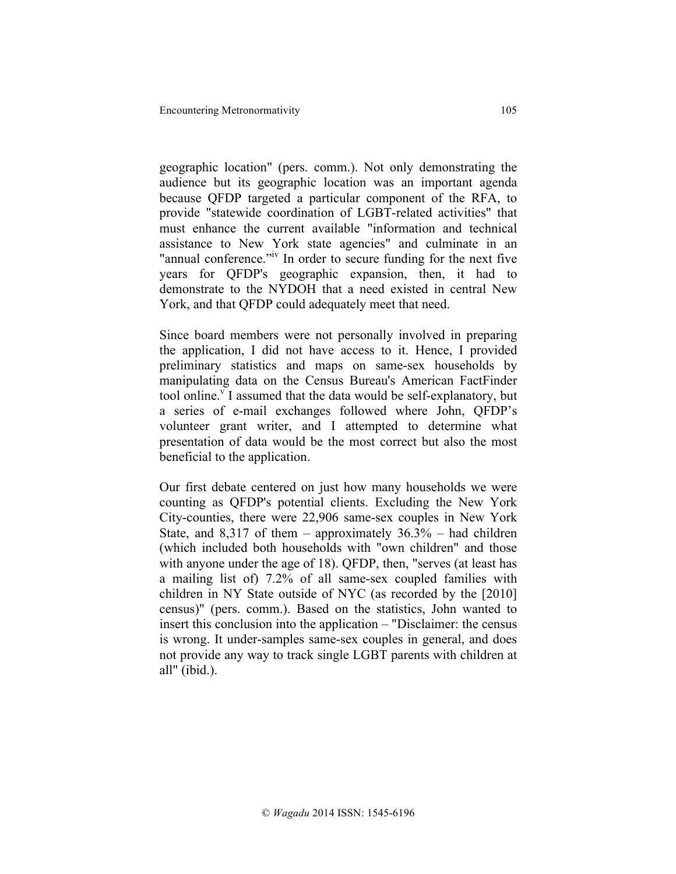geographic location" (pers. comm.). Not only demonstrating the audience but its geographic location was an important agenda because QFDP targeted a particular component of the RFA, to provide "statewide coordination of LGBT-related activities" that must enhance the current available "information and technical assistance to New York state agencies" and culminate in an "annual conference."<sup>IV</sup> In order to secure funding for the next five years for QFDP's geographic expansion, then, it had to demonstrate to the NYDOH that a need existed in central New York, and that QFDP could adequately meet that need.

Since board members were not personally involved in preparing the application, I did not have access to it. Hence, I provided preliminary statistics and maps on same-sex households by manipulating data on the Census Bureau's American FactFinder tool online.<sup>v</sup> I assumed that the data would be self-explanatory, but a series of e-mail exchanges followed where John, QFDP's volunteer grant writer, and I attempted to determine what presentation of data would be the most correct but also the most beneficial to the application.

Our first debate centered on just how many households we were counting as QFDP's potential clients. Excluding the New York City-counties, there were 22,906 same-sex couples in New York State, and  $8,317$  of them – approximately  $36.3\%$  – had children (which included both households with "own children" and those with anyone under the age of 18). QFDP, then, "serves (at least has a mailing list of) 7.2% of all same-sex coupled families with children in NY State outside of NYC (as recorded by the [2010] census)" (pers. comm.). Based on the statistics, John wanted to insert this conclusion into the application – "Disclaimer: the census is wrong. It under-samples same-sex couples in general, and does not provide any way to track single LGBT parents with children at all" (ibid.).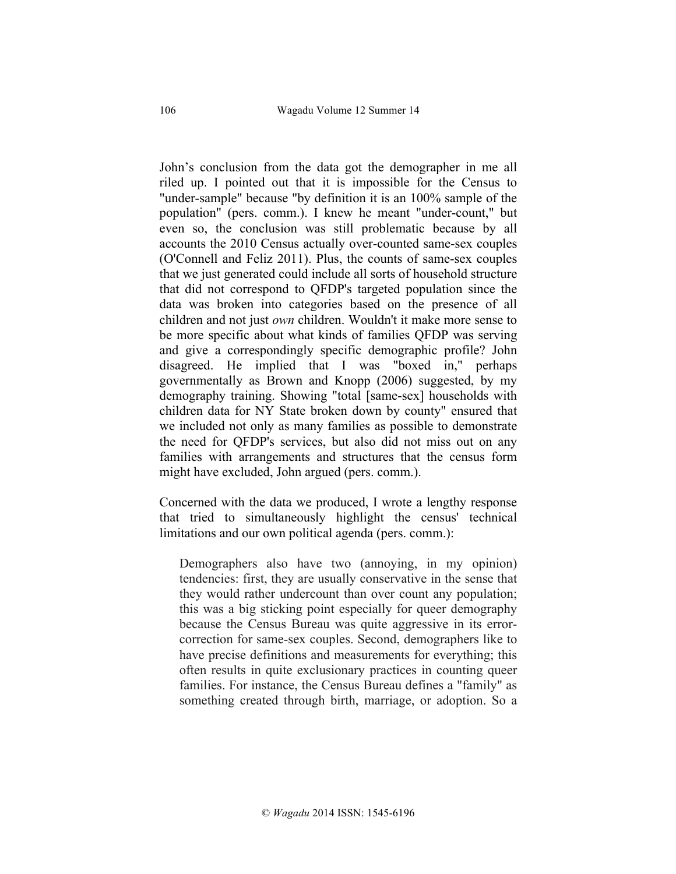John's conclusion from the data got the demographer in me all riled up. I pointed out that it is impossible for the Census to "under-sample" because "by definition it is an 100% sample of the population" (pers. comm.). I knew he meant "under-count," but even so, the conclusion was still problematic because by all accounts the 2010 Census actually over-counted same-sex couples (O'Connell and Feliz 2011). Plus, the counts of same-sex couples that we just generated could include all sorts of household structure that did not correspond to QFDP's targeted population since the data was broken into categories based on the presence of all children and not just *own* children. Wouldn't it make more sense to be more specific about what kinds of families QFDP was serving and give a correspondingly specific demographic profile? John disagreed. He implied that I was "boxed in," perhaps governmentally as Brown and Knopp (2006) suggested, by my demography training. Showing "total [same-sex] households with children data for NY State broken down by county" ensured that we included not only as many families as possible to demonstrate the need for QFDP's services, but also did not miss out on any families with arrangements and structures that the census form might have excluded, John argued (pers. comm.).

Concerned with the data we produced, I wrote a lengthy response that tried to simultaneously highlight the census' technical limitations and our own political agenda (pers. comm.):

Demographers also have two (annoying, in my opinion) tendencies: first, they are usually conservative in the sense that they would rather undercount than over count any population; this was a big sticking point especially for queer demography because the Census Bureau was quite aggressive in its errorcorrection for same-sex couples. Second, demographers like to have precise definitions and measurements for everything; this often results in quite exclusionary practices in counting queer families. For instance, the Census Bureau defines a "family" as something created through birth, marriage, or adoption. So a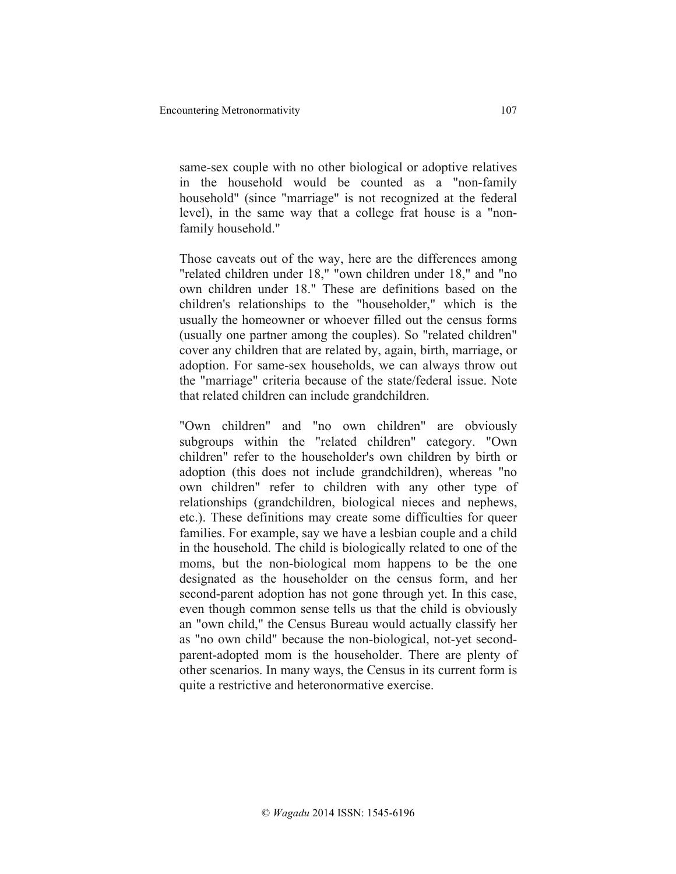same-sex couple with no other biological or adoptive relatives in the household would be counted as a "non-family household" (since "marriage" is not recognized at the federal level), in the same way that a college frat house is a "nonfamily household."

Those caveats out of the way, here are the differences among "related children under 18," "own children under 18," and "no own children under 18." These are definitions based on the children's relationships to the "householder," which is the usually the homeowner or whoever filled out the census forms (usually one partner among the couples). So "related children" cover any children that are related by, again, birth, marriage, or adoption. For same-sex households, we can always throw out the "marriage" criteria because of the state/federal issue. Note that related children can include grandchildren.

"Own children" and "no own children" are obviously subgroups within the "related children" category. "Own children" refer to the householder's own children by birth or adoption (this does not include grandchildren), whereas "no own children" refer to children with any other type of relationships (grandchildren, biological nieces and nephews, etc.). These definitions may create some difficulties for queer families. For example, say we have a lesbian couple and a child in the household. The child is biologically related to one of the moms, but the non-biological mom happens to be the one designated as the householder on the census form, and her second-parent adoption has not gone through yet. In this case, even though common sense tells us that the child is obviously an "own child," the Census Bureau would actually classify her as "no own child" because the non-biological, not-yet secondparent-adopted mom is the householder. There are plenty of other scenarios. In many ways, the Census in its current form is quite a restrictive and heteronormative exercise.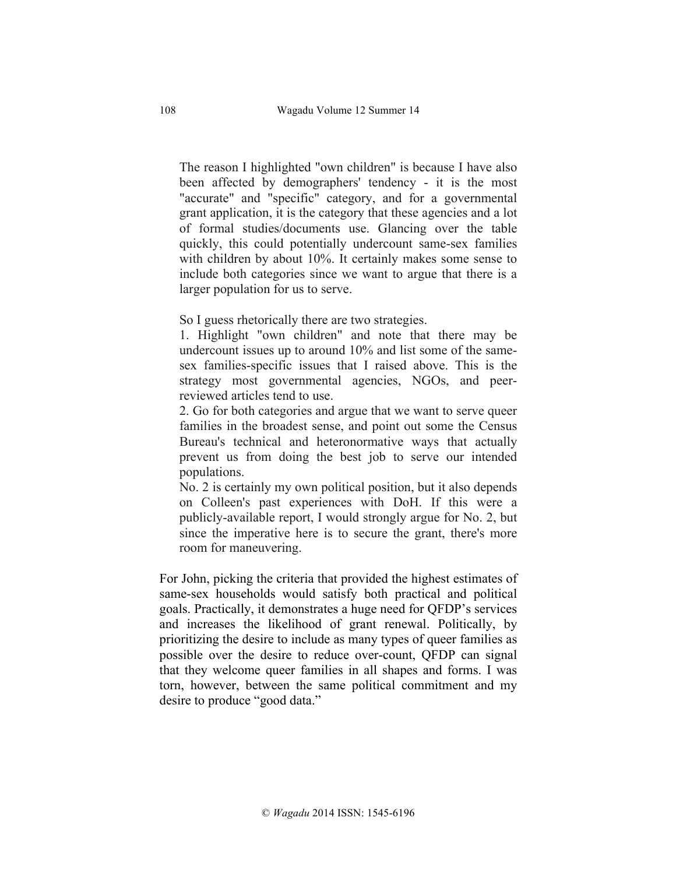The reason I highlighted "own children" is because I have also been affected by demographers' tendency - it is the most "accurate" and "specific" category, and for a governmental grant application, it is the category that these agencies and a lot of formal studies/documents use. Glancing over the table quickly, this could potentially undercount same-sex families with children by about 10%. It certainly makes some sense to include both categories since we want to argue that there is a larger population for us to serve.

So I guess rhetorically there are two strategies.

1. Highlight "own children" and note that there may be undercount issues up to around 10% and list some of the samesex families-specific issues that I raised above. This is the strategy most governmental agencies, NGOs, and peerreviewed articles tend to use.

2. Go for both categories and argue that we want to serve queer families in the broadest sense, and point out some the Census Bureau's technical and heteronormative ways that actually prevent us from doing the best job to serve our intended populations.

No. 2 is certainly my own political position, but it also depends on Colleen's past experiences with DoH. If this were a publicly-available report, I would strongly argue for No. 2, but since the imperative here is to secure the grant, there's more room for maneuvering.

For John, picking the criteria that provided the highest estimates of same-sex households would satisfy both practical and political goals. Practically, it demonstrates a huge need for QFDP's services and increases the likelihood of grant renewal. Politically, by prioritizing the desire to include as many types of queer families as possible over the desire to reduce over-count, QFDP can signal that they welcome queer families in all shapes and forms. I was torn, however, between the same political commitment and my desire to produce "good data."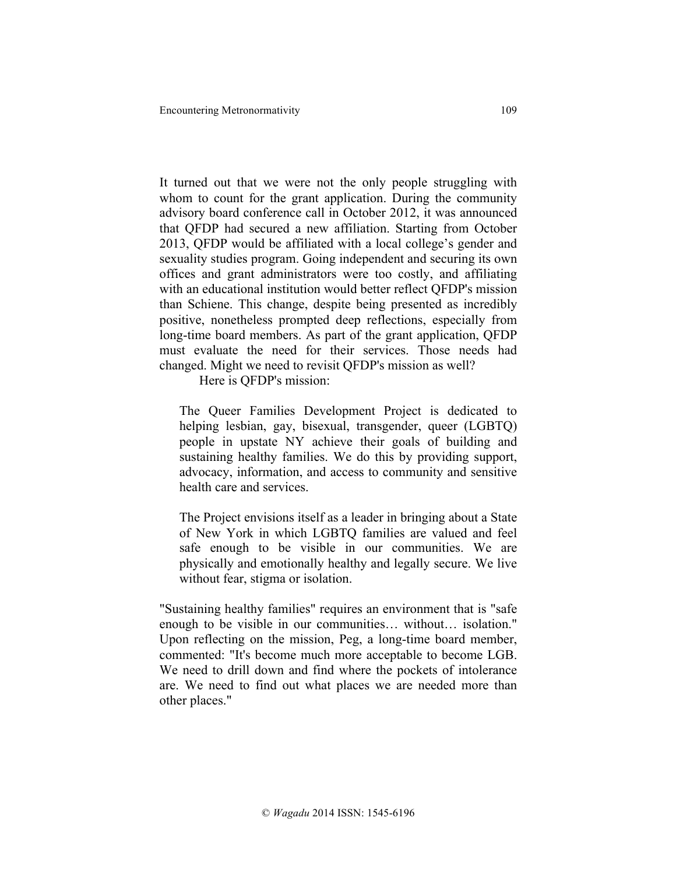It turned out that we were not the only people struggling with whom to count for the grant application. During the community advisory board conference call in October 2012, it was announced that QFDP had secured a new affiliation. Starting from October 2013, QFDP would be affiliated with a local college's gender and sexuality studies program. Going independent and securing its own offices and grant administrators were too costly, and affiliating with an educational institution would better reflect QFDP's mission than Schiene. This change, despite being presented as incredibly positive, nonetheless prompted deep reflections, especially from long-time board members. As part of the grant application, QFDP must evaluate the need for their services. Those needs had changed. Might we need to revisit QFDP's mission as well?

Here is QFDP's mission:

The Queer Families Development Project is dedicated to helping lesbian, gay, bisexual, transgender, queer (LGBTQ) people in upstate NY achieve their goals of building and sustaining healthy families. We do this by providing support, advocacy, information, and access to community and sensitive health care and services.

The Project envisions itself as a leader in bringing about a State of New York in which LGBTQ families are valued and feel safe enough to be visible in our communities. We are physically and emotionally healthy and legally secure. We live without fear, stigma or isolation.

"Sustaining healthy families" requires an environment that is "safe enough to be visible in our communities… without… isolation." Upon reflecting on the mission, Peg, a long-time board member, commented: "It's become much more acceptable to become LGB. We need to drill down and find where the pockets of intolerance are. We need to find out what places we are needed more than other places."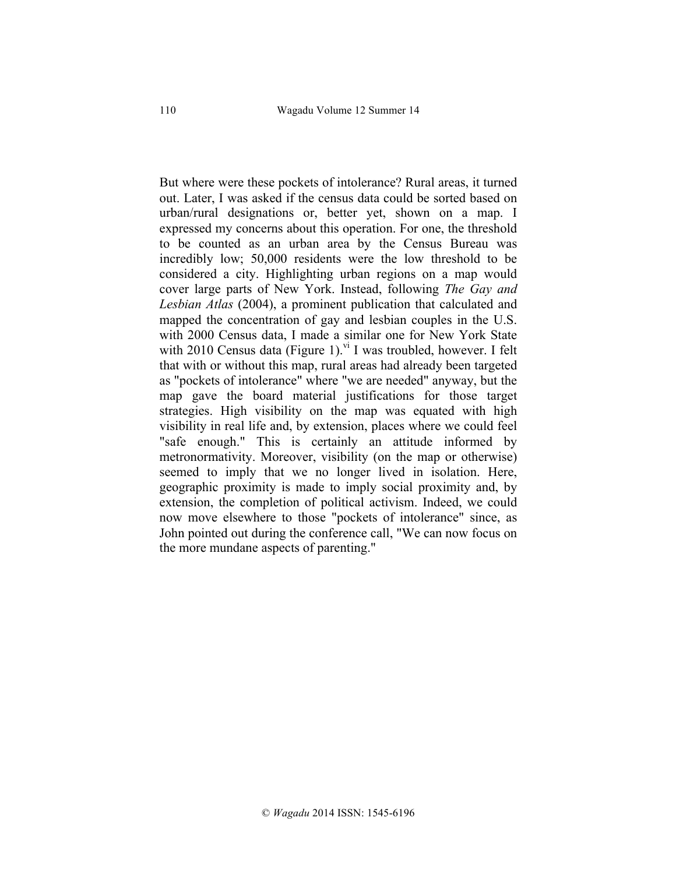But where were these pockets of intolerance? Rural areas, it turned out. Later, I was asked if the census data could be sorted based on urban/rural designations or, better yet, shown on a map. I expressed my concerns about this operation. For one, the threshold to be counted as an urban area by the Census Bureau was incredibly low; 50,000 residents were the low threshold to be considered a city. Highlighting urban regions on a map would cover large parts of New York. Instead, following *The Gay and Lesbian Atlas* (2004), a prominent publication that calculated and mapped the concentration of gay and lesbian couples in the U.S. with 2000 Census data, I made a similar one for New York State with 2010 Census data (Figure 1).<sup>vi</sup> I was troubled, however. I felt that with or without this map, rural areas had already been targeted as "pockets of intolerance" where "we are needed" anyway, but the map gave the board material justifications for those target strategies. High visibility on the map was equated with high visibility in real life and, by extension, places where we could feel "safe enough." This is certainly an attitude informed by metronormativity. Moreover, visibility (on the map or otherwise) seemed to imply that we no longer lived in isolation. Here, geographic proximity is made to imply social proximity and, by extension, the completion of political activism. Indeed, we could now move elsewhere to those "pockets of intolerance" since, as John pointed out during the conference call, "We can now focus on the more mundane aspects of parenting."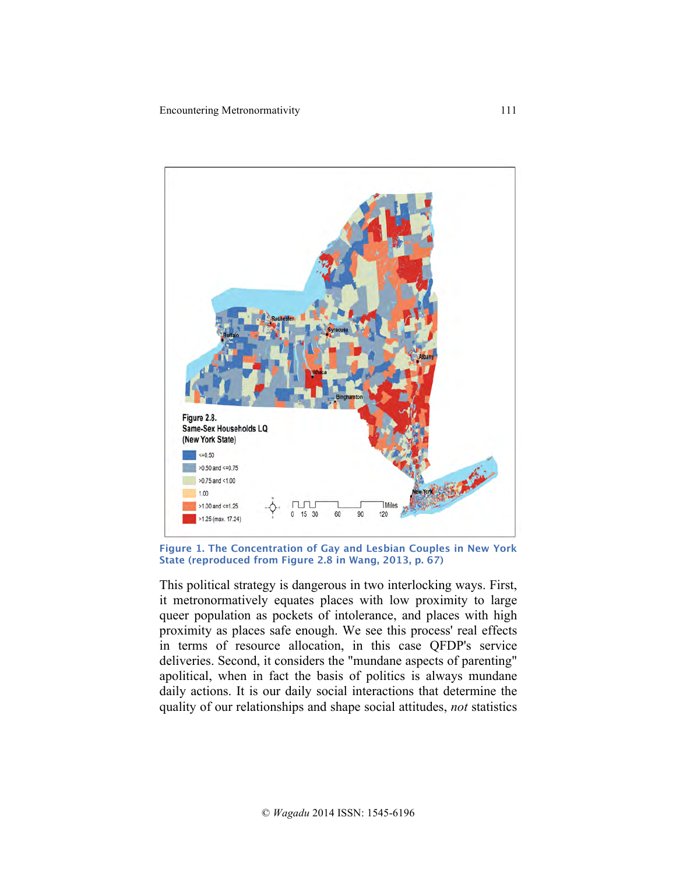

**Figure 1. The Concentration of Gay and Lesbian Couples in New York State (reproduced from Figure 2.8 in Wang, 2013, p. 67)**

This political strategy is dangerous in two interlocking ways. First, it metronormatively equates places with low proximity to large queer population as pockets of intolerance, and places with high proximity as places safe enough. We see this process' real effects in terms of resource allocation, in this case QFDP's service deliveries. Second, it considers the "mundane aspects of parenting" apolitical, when in fact the basis of politics is always mundane daily actions. It is our daily social interactions that determine the quality of our relationships and shape social attitudes, *not* statistics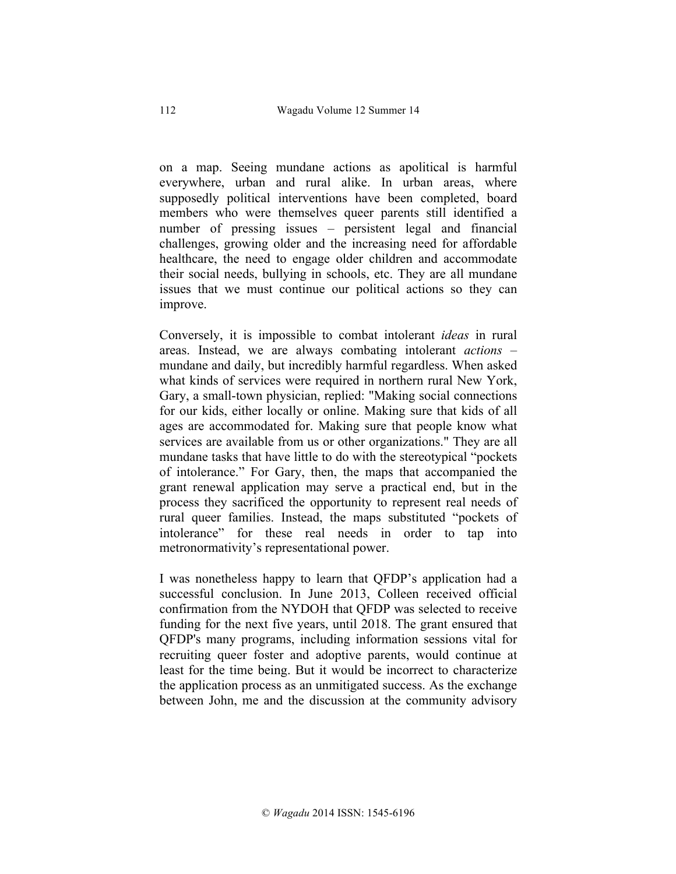on a map. Seeing mundane actions as apolitical is harmful everywhere, urban and rural alike. In urban areas, where supposedly political interventions have been completed, board members who were themselves queer parents still identified a number of pressing issues – persistent legal and financial challenges, growing older and the increasing need for affordable healthcare, the need to engage older children and accommodate their social needs, bullying in schools, etc. They are all mundane issues that we must continue our political actions so they can improve.

Conversely, it is impossible to combat intolerant *ideas* in rural areas. Instead, we are always combating intolerant *actions* – mundane and daily, but incredibly harmful regardless. When asked what kinds of services were required in northern rural New York, Gary, a small-town physician, replied: "Making social connections for our kids, either locally or online. Making sure that kids of all ages are accommodated for. Making sure that people know what services are available from us or other organizations." They are all mundane tasks that have little to do with the stereotypical "pockets of intolerance." For Gary, then, the maps that accompanied the grant renewal application may serve a practical end, but in the process they sacrificed the opportunity to represent real needs of rural queer families. Instead, the maps substituted "pockets of intolerance" for these real needs in order to tap into metronormativity's representational power.

I was nonetheless happy to learn that QFDP's application had a successful conclusion. In June 2013, Colleen received official confirmation from the NYDOH that QFDP was selected to receive funding for the next five years, until 2018. The grant ensured that QFDP's many programs, including information sessions vital for recruiting queer foster and adoptive parents, would continue at least for the time being. But it would be incorrect to characterize the application process as an unmitigated success. As the exchange between John, me and the discussion at the community advisory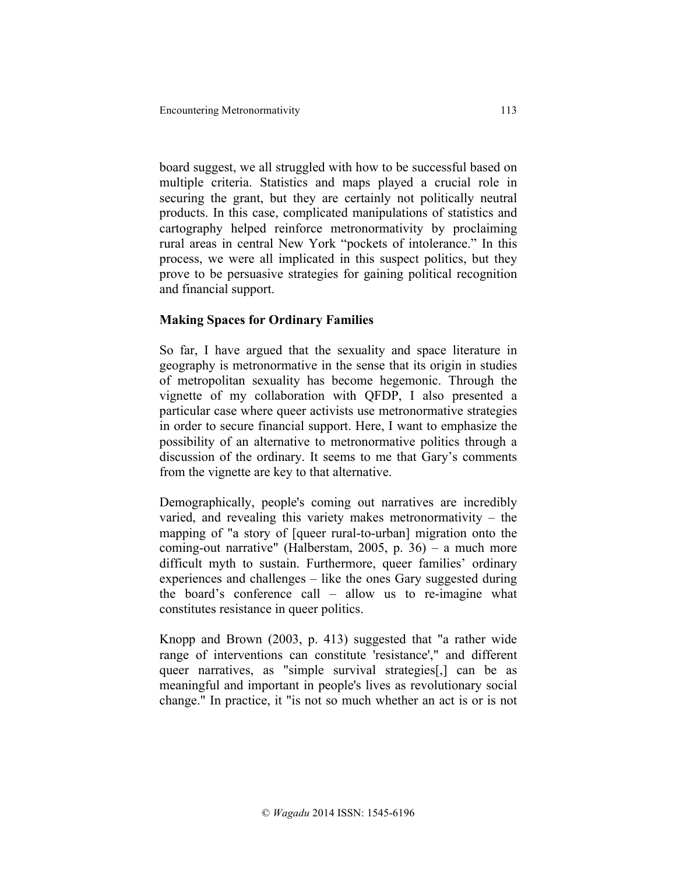board suggest, we all struggled with how to be successful based on multiple criteria. Statistics and maps played a crucial role in securing the grant, but they are certainly not politically neutral products. In this case, complicated manipulations of statistics and cartography helped reinforce metronormativity by proclaiming rural areas in central New York "pockets of intolerance." In this process, we were all implicated in this suspect politics, but they prove to be persuasive strategies for gaining political recognition and financial support.

# **Making Spaces for Ordinary Families**

So far, I have argued that the sexuality and space literature in geography is metronormative in the sense that its origin in studies of metropolitan sexuality has become hegemonic. Through the vignette of my collaboration with QFDP, I also presented a particular case where queer activists use metronormative strategies in order to secure financial support. Here, I want to emphasize the possibility of an alternative to metronormative politics through a discussion of the ordinary. It seems to me that Gary's comments from the vignette are key to that alternative.

Demographically, people's coming out narratives are incredibly varied, and revealing this variety makes metronormativity – the mapping of "a story of [queer rural-to-urban] migration onto the coming-out narrative" (Halberstam, 2005, p. 36) – a much more difficult myth to sustain. Furthermore, queer families' ordinary experiences and challenges – like the ones Gary suggested during the board's conference call – allow us to re-imagine what constitutes resistance in queer politics.

Knopp and Brown (2003, p. 413) suggested that "a rather wide range of interventions can constitute 'resistance'," and different queer narratives, as "simple survival strategies[,] can be as meaningful and important in people's lives as revolutionary social change." In practice, it "is not so much whether an act is or is not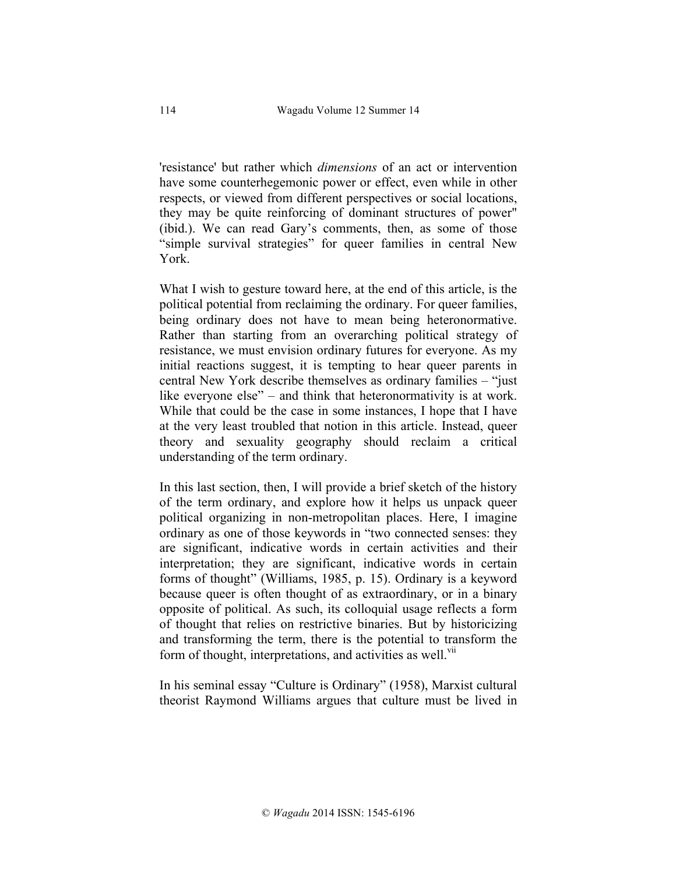'resistance' but rather which *dimensions* of an act or intervention have some counterhegemonic power or effect, even while in other respects, or viewed from different perspectives or social locations, they may be quite reinforcing of dominant structures of power" (ibid.). We can read Gary's comments, then, as some of those "simple survival strategies" for queer families in central New York.

What I wish to gesture toward here, at the end of this article, is the political potential from reclaiming the ordinary. For queer families, being ordinary does not have to mean being heteronormative. Rather than starting from an overarching political strategy of resistance, we must envision ordinary futures for everyone. As my initial reactions suggest, it is tempting to hear queer parents in central New York describe themselves as ordinary families – "just like everyone else" – and think that heteronormativity is at work. While that could be the case in some instances, I hope that I have at the very least troubled that notion in this article. Instead, queer theory and sexuality geography should reclaim a critical understanding of the term ordinary.

In this last section, then, I will provide a brief sketch of the history of the term ordinary, and explore how it helps us unpack queer political organizing in non-metropolitan places. Here, I imagine ordinary as one of those keywords in "two connected senses: they are significant, indicative words in certain activities and their interpretation; they are significant, indicative words in certain forms of thought" (Williams, 1985, p. 15). Ordinary is a keyword because queer is often thought of as extraordinary, or in a binary opposite of political. As such, its colloquial usage reflects a form of thought that relies on restrictive binaries. But by historicizing and transforming the term, there is the potential to transform the form of thought, interpretations, and activities as well.<sup>VII</sup>

In his seminal essay "Culture is Ordinary" (1958), Marxist cultural theorist Raymond Williams argues that culture must be lived in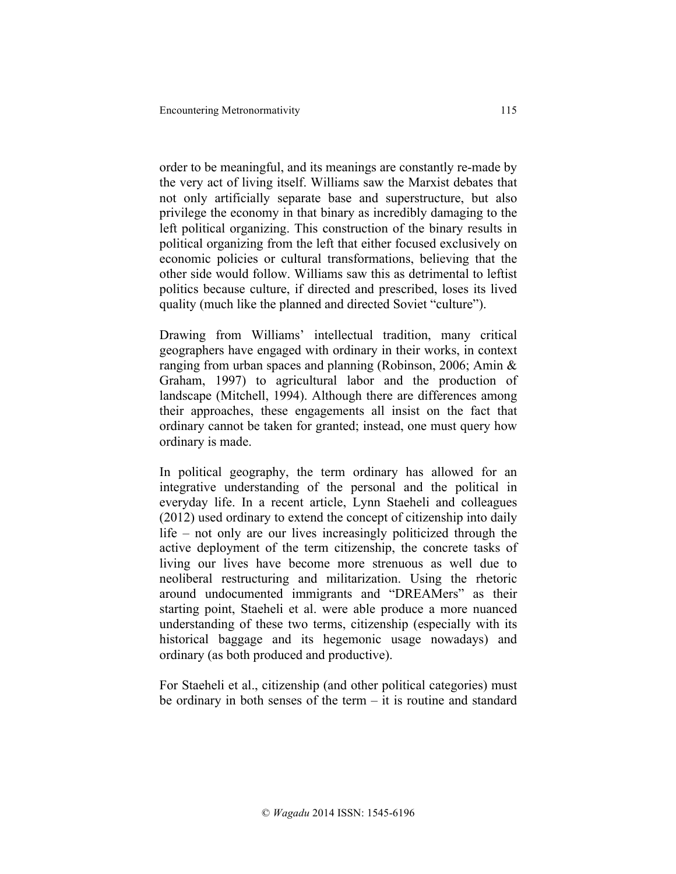order to be meaningful, and its meanings are constantly re-made by the very act of living itself. Williams saw the Marxist debates that not only artificially separate base and superstructure, but also privilege the economy in that binary as incredibly damaging to the left political organizing. This construction of the binary results in political organizing from the left that either focused exclusively on economic policies or cultural transformations, believing that the other side would follow. Williams saw this as detrimental to leftist politics because culture, if directed and prescribed, loses its lived quality (much like the planned and directed Soviet "culture").

Drawing from Williams' intellectual tradition, many critical geographers have engaged with ordinary in their works, in context ranging from urban spaces and planning (Robinson, 2006; Amin & Graham, 1997) to agricultural labor and the production of landscape (Mitchell, 1994). Although there are differences among their approaches, these engagements all insist on the fact that ordinary cannot be taken for granted; instead, one must query how ordinary is made.

In political geography, the term ordinary has allowed for an integrative understanding of the personal and the political in everyday life. In a recent article, Lynn Staeheli and colleagues (2012) used ordinary to extend the concept of citizenship into daily life – not only are our lives increasingly politicized through the active deployment of the term citizenship, the concrete tasks of living our lives have become more strenuous as well due to neoliberal restructuring and militarization. Using the rhetoric around undocumented immigrants and "DREAMers" as their starting point, Staeheli et al. were able produce a more nuanced understanding of these two terms, citizenship (especially with its historical baggage and its hegemonic usage nowadays) and ordinary (as both produced and productive).

For Staeheli et al., citizenship (and other political categories) must be ordinary in both senses of the term – it is routine and standard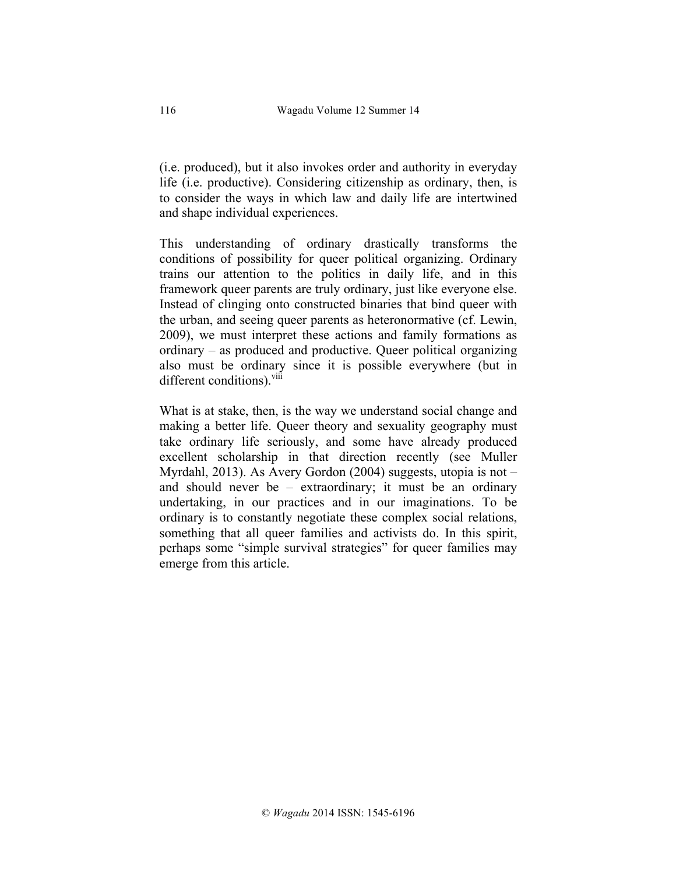(i.e. produced), but it also invokes order and authority in everyday life (i.e. productive). Considering citizenship as ordinary, then, is to consider the ways in which law and daily life are intertwined and shape individual experiences.

This understanding of ordinary drastically transforms the conditions of possibility for queer political organizing. Ordinary trains our attention to the politics in daily life, and in this framework queer parents are truly ordinary, just like everyone else. Instead of clinging onto constructed binaries that bind queer with the urban, and seeing queer parents as heteronormative (cf. Lewin, 2009), we must interpret these actions and family formations as ordinary – as produced and productive. Queer political organizing also must be ordinary since it is possible everywhere (but in different conditions).<sup>viii</sup>

What is at stake, then, is the way we understand social change and making a better life. Queer theory and sexuality geography must take ordinary life seriously, and some have already produced excellent scholarship in that direction recently (see Muller Myrdahl, 2013). As Avery Gordon (2004) suggests, utopia is not – and should never be – extraordinary; it must be an ordinary undertaking, in our practices and in our imaginations. To be ordinary is to constantly negotiate these complex social relations, something that all queer families and activists do. In this spirit, perhaps some "simple survival strategies" for queer families may emerge from this article.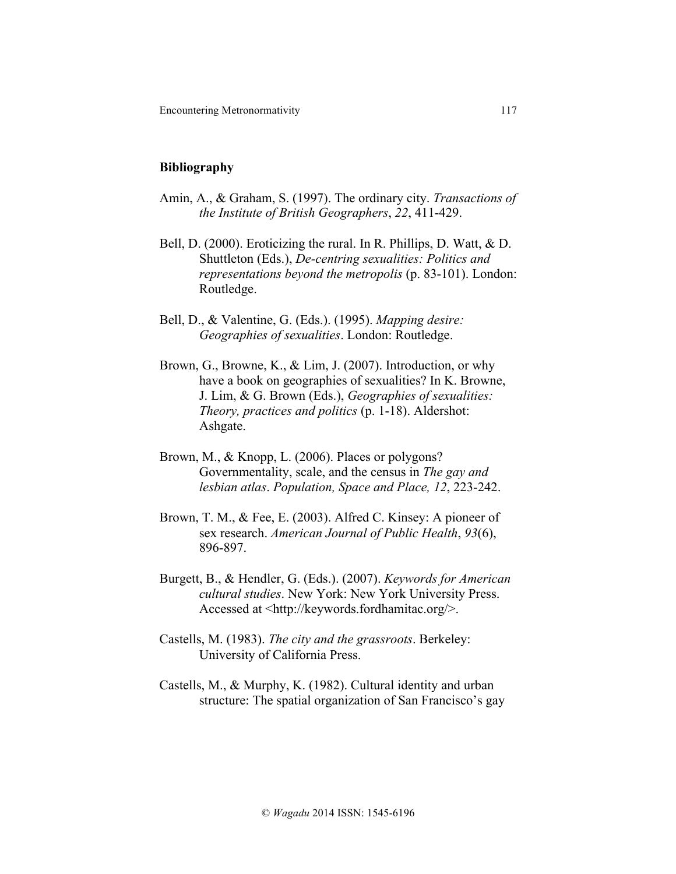#### **Bibliography**

- Amin, A., & Graham, S. (1997). The ordinary city. *Transactions of the Institute of British Geographers*, *22*, 411-429.
- Bell, D. (2000). Eroticizing the rural. In R. Phillips, D. Watt, & D. Shuttleton (Eds.), *De-centring sexualities: Politics and representations beyond the metropolis* (p. 83-101). London: Routledge.
- Bell, D., & Valentine, G. (Eds.). (1995). *Mapping desire: Geographies of sexualities*. London: Routledge.
- Brown, G., Browne, K., & Lim, J. (2007). Introduction, or why have a book on geographies of sexualities? In K. Browne, J. Lim, & G. Brown (Eds.), *Geographies of sexualities: Theory, practices and politics* (p. 1-18). Aldershot: Ashgate.
- Brown, M., & Knopp, L. (2006). Places or polygons? Governmentality, scale, and the census in *The gay and lesbian atlas*. *Population, Space and Place, 12*, 223-242.
- Brown, T. M., & Fee, E. (2003). Alfred C. Kinsey: A pioneer of sex research. *American Journal of Public Health*, *93*(6), 896-897.
- Burgett, B., & Hendler, G. (Eds.). (2007). *Keywords for American cultural studies*. New York: New York University Press. Accessed at <http://keywords.fordhamitac.org/>.
- Castells, M. (1983). *The city and the grassroots*. Berkeley: University of California Press.
- Castells, M., & Murphy, K. (1982). Cultural identity and urban structure: The spatial organization of San Francisco's gay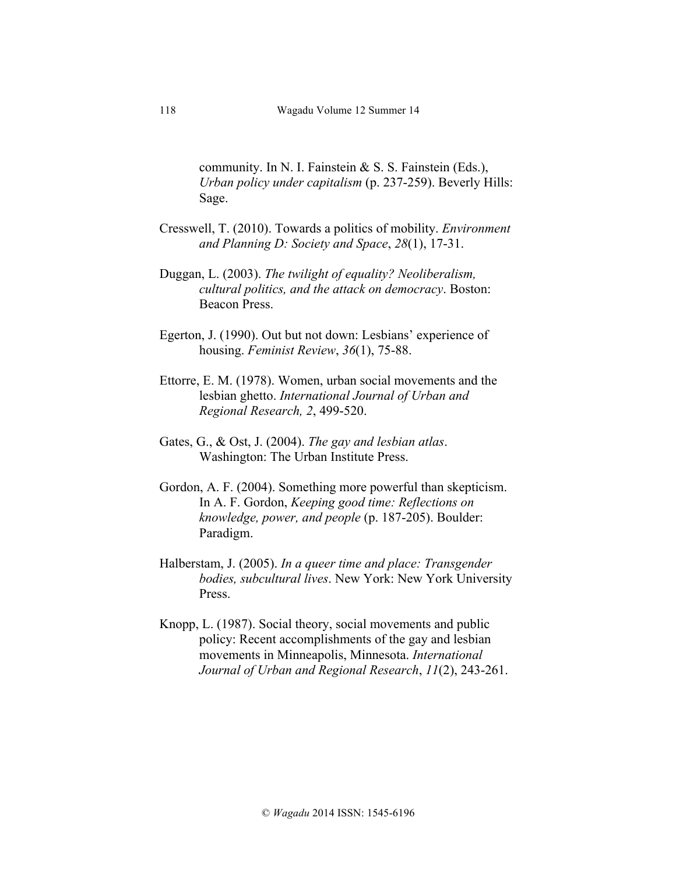community. In N. I. Fainstein  $\& S. S.$  Fainstein (Eds.), *Urban policy under capitalism* (p. 237-259). Beverly Hills: Sage.

- Cresswell, T. (2010). Towards a politics of mobility. *Environment and Planning D: Society and Space*, *28*(1), 17-31.
- Duggan, L. (2003). *The twilight of equality? Neoliberalism, cultural politics, and the attack on democracy*. Boston: Beacon Press.
- Egerton, J. (1990). Out but not down: Lesbians' experience of housing. *Feminist Review*, *36*(1), 75-88.
- Ettorre, E. M. (1978). Women, urban social movements and the lesbian ghetto. *International Journal of Urban and Regional Research, 2*, 499-520.
- Gates, G., & Ost, J. (2004). *The gay and lesbian atlas*. Washington: The Urban Institute Press.
- Gordon, A. F. (2004). Something more powerful than skepticism. In A. F. Gordon, *Keeping good time: Reflections on knowledge, power, and people* (p. 187-205). Boulder: Paradigm.
- Halberstam, J. (2005). *In a queer time and place: Transgender bodies, subcultural lives*. New York: New York University Press.
- Knopp, L. (1987). Social theory, social movements and public policy: Recent accomplishments of the gay and lesbian movements in Minneapolis, Minnesota. *International Journal of Urban and Regional Research*, *11*(2), 243-261.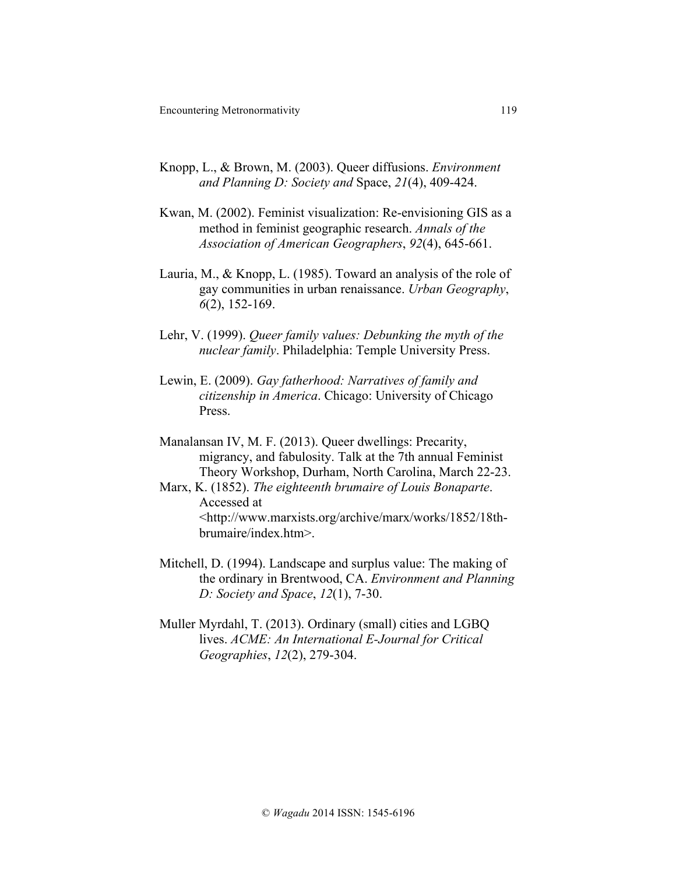- Knopp, L., & Brown, M. (2003). Queer diffusions. *Environment and Planning D: Society and* Space, *21*(4), 409-424.
- Kwan, M. (2002). Feminist visualization: Re-envisioning GIS as a method in feminist geographic research. *Annals of the Association of American Geographers*, *92*(4), 645-661.
- Lauria, M., & Knopp, L. (1985). Toward an analysis of the role of gay communities in urban renaissance. *Urban Geography*, *6*(2), 152-169.
- Lehr, V. (1999). *Queer family values: Debunking the myth of the nuclear family*. Philadelphia: Temple University Press.
- Lewin, E. (2009). *Gay fatherhood: Narratives of family and citizenship in America*. Chicago: University of Chicago Press.

Manalansan IV, M. F. (2013). Queer dwellings: Precarity, migrancy, and fabulosity. Talk at the 7th annual Feminist Theory Workshop, Durham, North Carolina, March 22-23.

- Marx, K. (1852). *The eighteenth brumaire of Louis Bonaparte*. Accessed at <http://www.marxists.org/archive/marx/works/1852/18thbrumaire/index.htm>.
- Mitchell, D. (1994). Landscape and surplus value: The making of the ordinary in Brentwood, CA. *Environment and Planning D: Society and Space*, *12*(1), 7-30.
- Muller Myrdahl, T. (2013). Ordinary (small) cities and LGBQ lives. *ACME: An International E-Journal for Critical Geographies*, *12*(2), 279-304.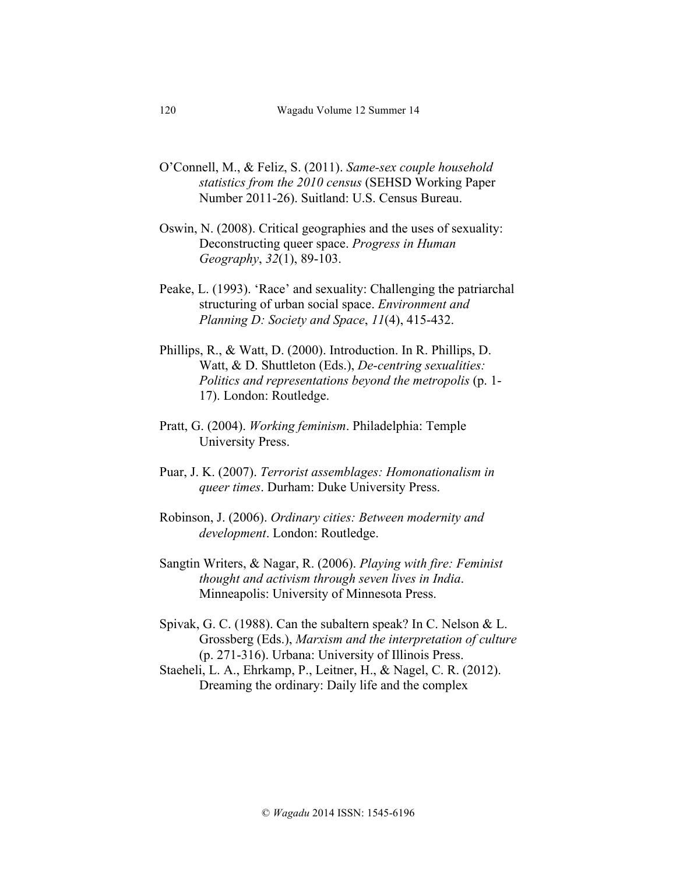- O'Connell, M., & Feliz, S. (2011). *Same-sex couple household statistics from the 2010 census* (SEHSD Working Paper Number 2011-26). Suitland: U.S. Census Bureau.
- Oswin, N. (2008). Critical geographies and the uses of sexuality: Deconstructing queer space. *Progress in Human Geography*, *32*(1), 89-103.
- Peake, L. (1993). 'Race' and sexuality: Challenging the patriarchal structuring of urban social space. *Environment and Planning D: Society and Space*, *11*(4), 415-432.
- Phillips, R., & Watt, D. (2000). Introduction. In R. Phillips, D. Watt, & D. Shuttleton (Eds.), *De-centring sexualities: Politics and representations beyond the metropolis* (p. 1- 17). London: Routledge.
- Pratt, G. (2004). *Working feminism*. Philadelphia: Temple University Press.
- Puar, J. K. (2007). *Terrorist assemblages: Homonationalism in queer times*. Durham: Duke University Press.
- Robinson, J. (2006). *Ordinary cities: Between modernity and development*. London: Routledge.
- Sangtin Writers, & Nagar, R. (2006). *Playing with fire: Feminist thought and activism through seven lives in India*. Minneapolis: University of Minnesota Press.
- Spivak, G. C. (1988). Can the subaltern speak? In C. Nelson & L. Grossberg (Eds.), *Marxism and the interpretation of culture* (p. 271-316). Urbana: University of Illinois Press.
- Staeheli, L. A., Ehrkamp, P., Leitner, H., & Nagel, C. R. (2012). Dreaming the ordinary: Daily life and the complex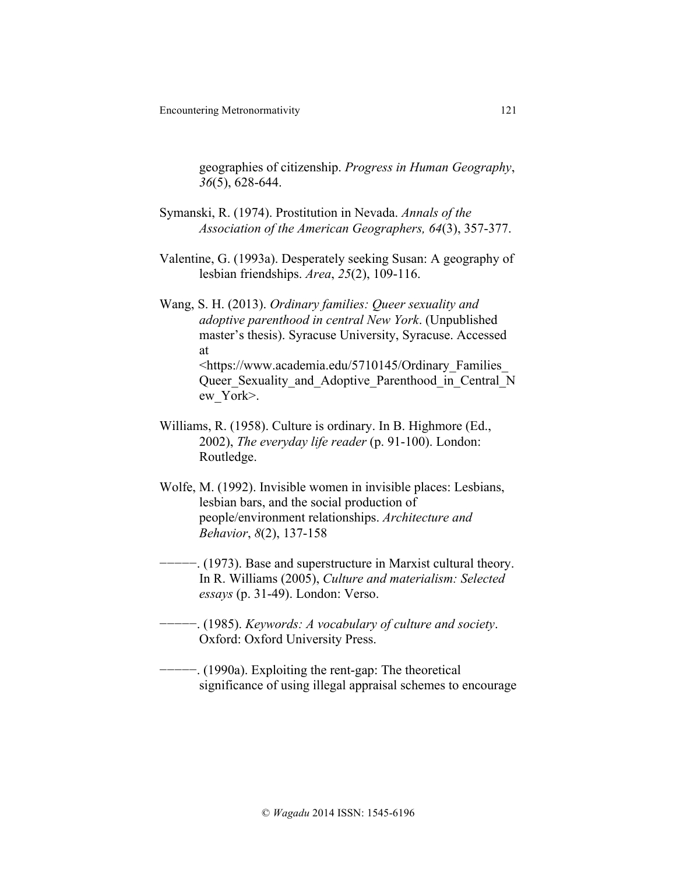geographies of citizenship. *Progress in Human Geography*, *36*(5), 628-644.

- Symanski, R. (1974). Prostitution in Nevada. *Annals of the Association of the American Geographers, 64*(3), 357-377.
- Valentine, G. (1993a). Desperately seeking Susan: A geography of lesbian friendships. *Area*, *25*(2), 109-116.

Wang, S. H. (2013). *Ordinary families: Queer sexuality and adoptive parenthood in central New York*. (Unpublished master's thesis). Syracuse University, Syracuse. Accessed at <https://www.academia.edu/5710145/Ordinary\_Families\_ Queer Sexuality and Adoptive Parenthood in Central N ew\_York>.

- Williams, R. (1958). Culture is ordinary. In B. Highmore (Ed., 2002), *The everyday life reader* (p. 91-100). London: Routledge.
- Wolfe, M. (1992). Invisible women in invisible places: Lesbians, lesbian bars, and the social production of people/environment relationships. *Architecture and Behavior*, *8*(2), 137-158

− (1973). Base and superstructure in Marxist cultural theory. In R. Williams (2005), *Culture and materialism: Selected essays* (p. 31-49). London: Verso.

- −−−−−. (1985). *Keywords: A vocabulary of culture and society*. Oxford: Oxford University Press.
- −−−−−. (1990a). Exploiting the rent-gap: The theoretical significance of using illegal appraisal schemes to encourage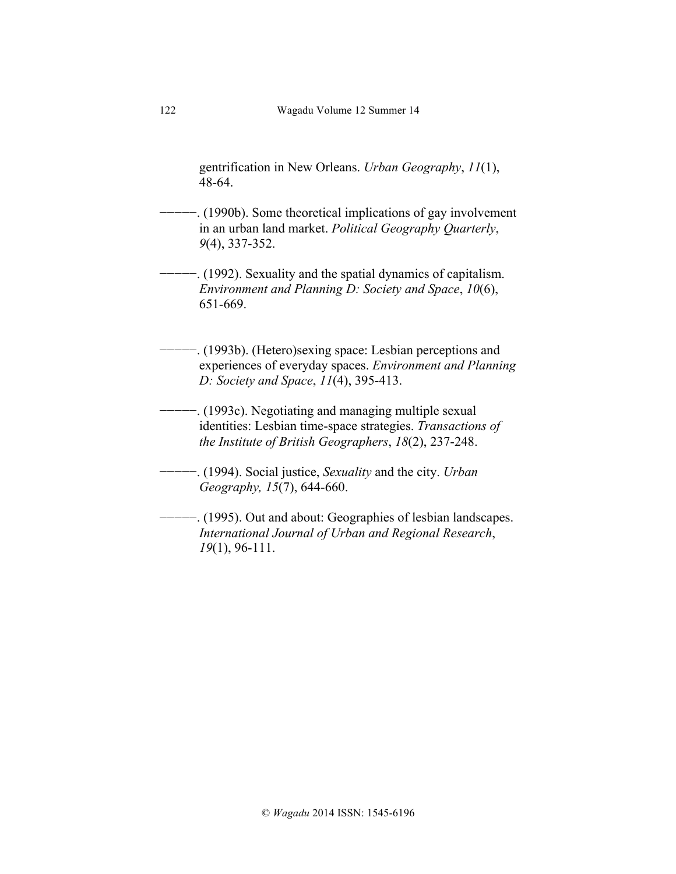gentrification in New Orleans. *Urban Geography*, *11*(1), 48-64.

- −−−−−. (1990b). Some theoretical implications of gay involvement in an urban land market. *Political Geography Quarterly*, *9*(4), 337-352.
- −−−−−. (1992). Sexuality and the spatial dynamics of capitalism. *Environment and Planning D: Society and Space*, *10*(6), 651-669.
- −−−−−. (1993b). (Hetero)sexing space: Lesbian perceptions and experiences of everyday spaces. *Environment and Planning D: Society and Space*, *11*(4), 395-413.
- −−−−−. (1993c). Negotiating and managing multiple sexual identities: Lesbian time-space strategies. *Transactions of the Institute of British Geographers*, *18*(2), 237-248.
	- −−−−−. (1994). Social justice, *Sexuality* and the city. *Urban Geography, 15*(7), 644-660.
- −−−−−. (1995). Out and about: Geographies of lesbian landscapes. *International Journal of Urban and Regional Research*, *19*(1), 96-111.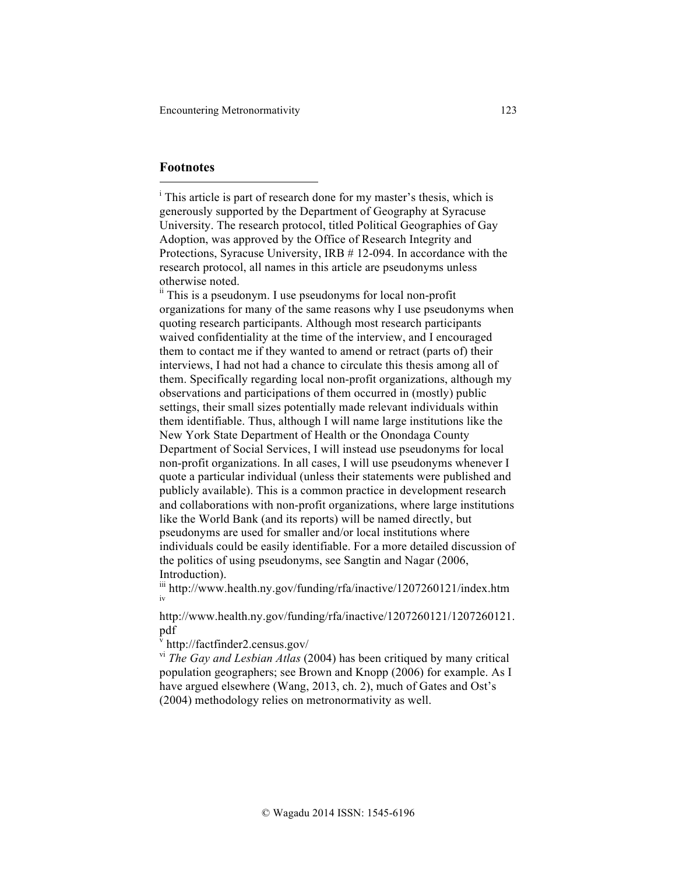#### **Footnotes**

l

<sup>i</sup> This article is part of research done for my master's thesis, which is generously supported by the Department of Geography at Syracuse University. The research protocol, titled Political Geographies of Gay Adoption, was approved by the Office of Research Integrity and Protections, Syracuse University, IRB # 12-094. In accordance with the research protocol, all names in this article are pseudonyms unless otherwise noted.

 $\mu$ <sup>n</sup> This is a pseudonym. I use pseudonyms for local non-profit organizations for many of the same reasons why I use pseudonyms when quoting research participants. Although most research participants waived confidentiality at the time of the interview, and I encouraged them to contact me if they wanted to amend or retract (parts of) their interviews, I had not had a chance to circulate this thesis among all of them. Specifically regarding local non-profit organizations, although my observations and participations of them occurred in (mostly) public settings, their small sizes potentially made relevant individuals within them identifiable. Thus, although I will name large institutions like the New York State Department of Health or the Onondaga County Department of Social Services, I will instead use pseudonyms for local non-profit organizations. In all cases, I will use pseudonyms whenever I quote a particular individual (unless their statements were published and publicly available). This is a common practice in development research and collaborations with non-profit organizations, where large institutions like the World Bank (and its reports) will be named directly, but pseudonyms are used for smaller and/or local institutions where individuals could be easily identifiable. For a more detailed discussion of the politics of using pseudonyms, see Sangtin and Nagar (2006, Introduction).

iii http://www.health.ny.gov/funding/rfa/inactive/1207260121/index.htm iv

http://www.health.ny.gov/funding/rfa/inactive/1207260121/1207260121. pdf

 $\frac{v}{t}$ http://factfinder2.census.gov/

vi *The Gay and Lesbian Atlas* (2004) has been critiqued by many critical population geographers; see Brown and Knopp (2006) for example. As I have argued elsewhere (Wang, 2013, ch. 2), much of Gates and Ost's (2004) methodology relies on metronormativity as well.